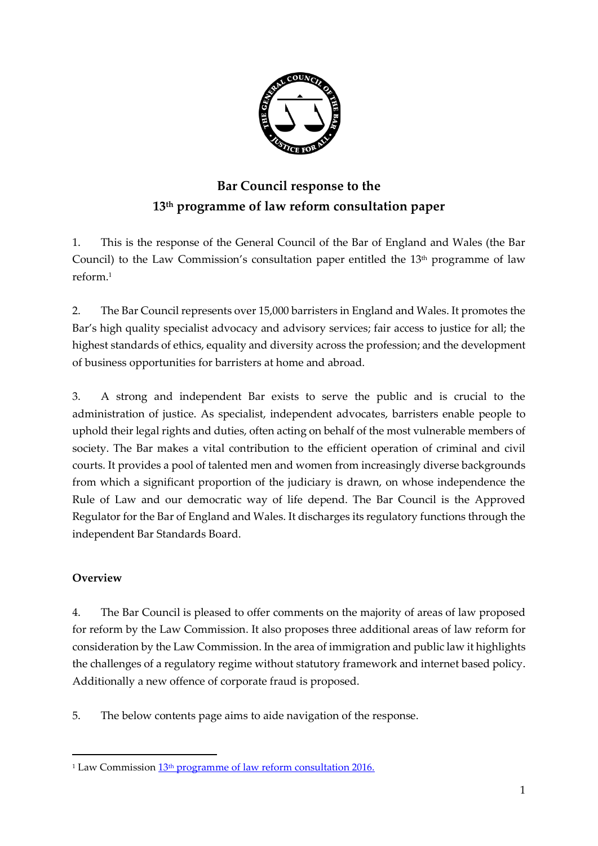

# **Bar Council response to the 13th programme of law reform consultation paper**

1. This is the response of the General Council of the Bar of England and Wales (the Bar Council) to the Law Commission's consultation paper entitled the  $13<sup>th</sup>$  programme of law reform. 1

2. The Bar Council represents over 15,000 barristers in England and Wales. It promotes the Bar's high quality specialist advocacy and advisory services; fair access to justice for all; the highest standards of ethics, equality and diversity across the profession; and the development of business opportunities for barristers at home and abroad.

3. A strong and independent Bar exists to serve the public and is crucial to the administration of justice. As specialist, independent advocates, barristers enable people to uphold their legal rights and duties, often acting on behalf of the most vulnerable members of society. The Bar makes a vital contribution to the efficient operation of criminal and civil courts. It provides a pool of talented men and women from increasingly diverse backgrounds from which a significant proportion of the judiciary is drawn, on whose independence the Rule of Law and our democratic way of life depend. The Bar Council is the Approved Regulator for the Bar of England and Wales. It discharges its regulatory functions through the independent Bar Standards Board.

#### **Overview**

 $\overline{a}$ 

4. The Bar Council is pleased to offer comments on the majority of areas of law proposed for reform by the Law Commission. It also proposes three additional areas of law reform for consideration by the Law Commission. In the area of immigration and public law it highlights the challenges of a regulatory regime without statutory framework and internet based policy. Additionally a new offence of corporate fraud is proposed.

5. The below contents page aims to aide navigation of the response.

<sup>&</sup>lt;sup>1</sup> Law Commission  $13<sup>th</sup>$  programme of law reform consultation 2016.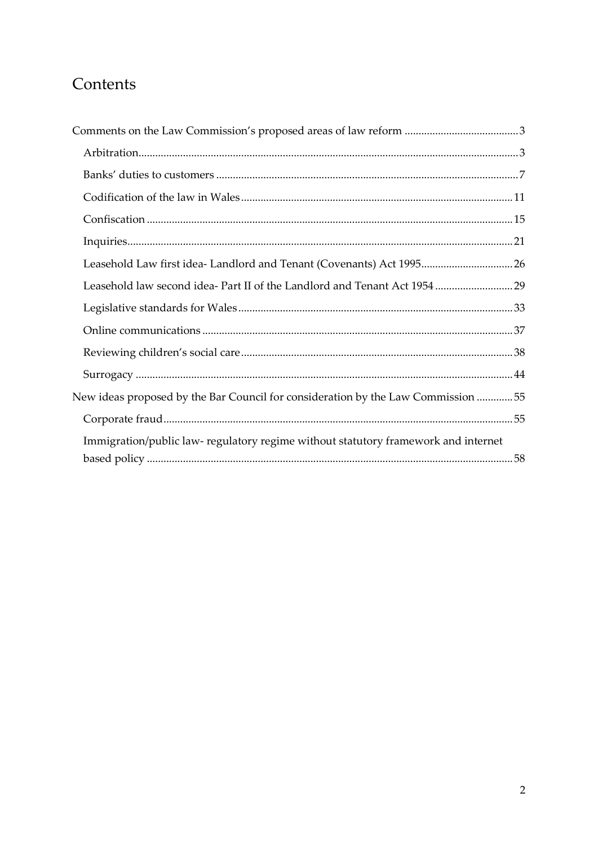# Contents

| Leasehold law second idea- Part II of the Landlord and Tenant Act 1954  29        |  |
|-----------------------------------------------------------------------------------|--|
|                                                                                   |  |
|                                                                                   |  |
|                                                                                   |  |
|                                                                                   |  |
| New ideas proposed by the Bar Council for consideration by the Law Commission 55  |  |
|                                                                                   |  |
| Immigration/public law-regulatory regime without statutory framework and internet |  |
|                                                                                   |  |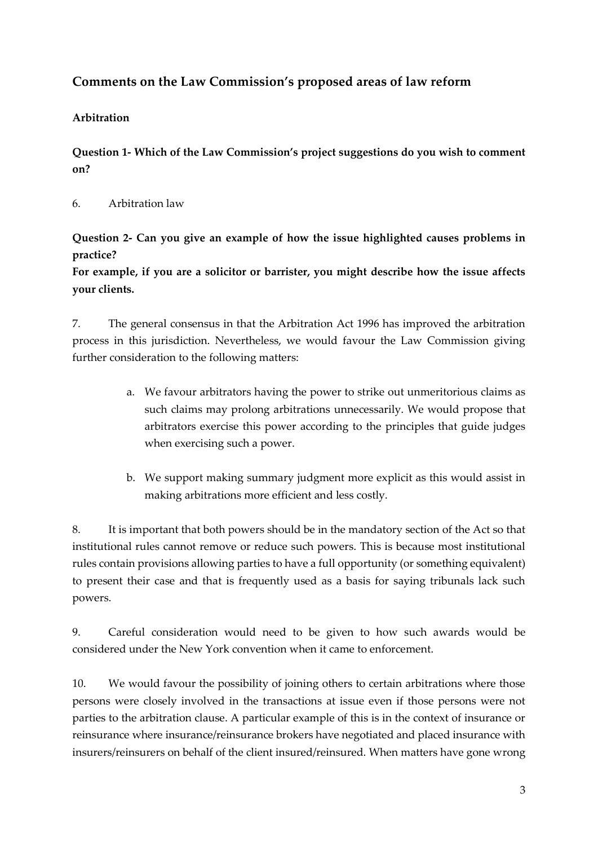### <span id="page-2-0"></span>**Comments on the Law Commission's proposed areas of law reform**

#### <span id="page-2-1"></span>**Arbitration**

**Question 1- Which of the Law Commission's project suggestions do you wish to comment on?** 

6. Arbitration law

**Question 2- Can you give an example of how the issue highlighted causes problems in practice?**

**For example, if you are a solicitor or barrister, you might describe how the issue affects your clients.**

7. The general consensus in that the Arbitration Act 1996 has improved the arbitration process in this jurisdiction. Nevertheless, we would favour the Law Commission giving further consideration to the following matters:

- a. We favour arbitrators having the power to strike out unmeritorious claims as such claims may prolong arbitrations unnecessarily. We would propose that arbitrators exercise this power according to the principles that guide judges when exercising such a power.
- b. We support making summary judgment more explicit as this would assist in making arbitrations more efficient and less costly.

8. It is important that both powers should be in the mandatory section of the Act so that institutional rules cannot remove or reduce such powers. This is because most institutional rules contain provisions allowing parties to have a full opportunity (or something equivalent) to present their case and that is frequently used as a basis for saying tribunals lack such powers.

9. Careful consideration would need to be given to how such awards would be considered under the New York convention when it came to enforcement.

10. We would favour the possibility of joining others to certain arbitrations where those persons were closely involved in the transactions at issue even if those persons were not parties to the arbitration clause. A particular example of this is in the context of insurance or reinsurance where insurance/reinsurance brokers have negotiated and placed insurance with insurers/reinsurers on behalf of the client insured/reinsured. When matters have gone wrong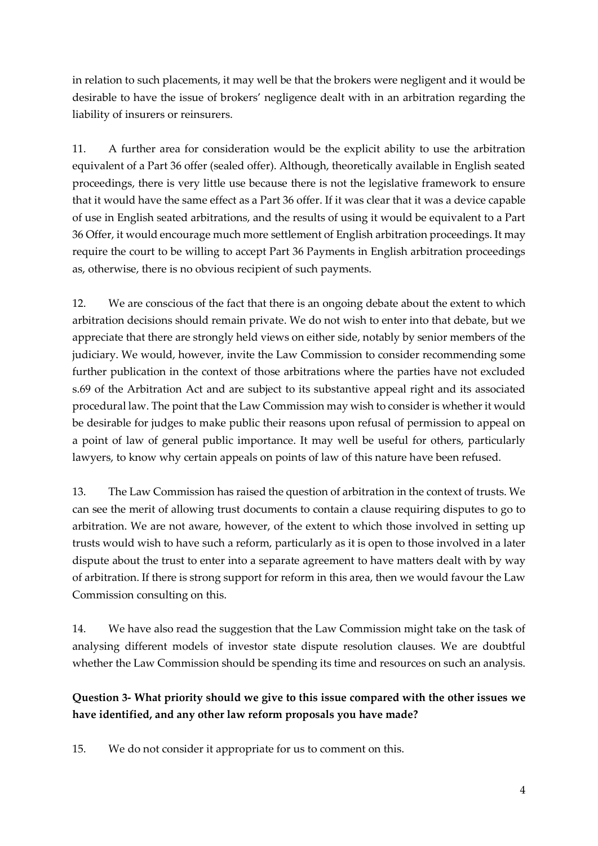in relation to such placements, it may well be that the brokers were negligent and it would be desirable to have the issue of brokers' negligence dealt with in an arbitration regarding the liability of insurers or reinsurers.

11. A further area for consideration would be the explicit ability to use the arbitration equivalent of a Part 36 offer (sealed offer). Although, theoretically available in English seated proceedings, there is very little use because there is not the legislative framework to ensure that it would have the same effect as a Part 36 offer. If it was clear that it was a device capable of use in English seated arbitrations, and the results of using it would be equivalent to a Part 36 Offer, it would encourage much more settlement of English arbitration proceedings. It may require the court to be willing to accept Part 36 Payments in English arbitration proceedings as, otherwise, there is no obvious recipient of such payments.

12. We are conscious of the fact that there is an ongoing debate about the extent to which arbitration decisions should remain private. We do not wish to enter into that debate, but we appreciate that there are strongly held views on either side, notably by senior members of the judiciary. We would, however, invite the Law Commission to consider recommending some further publication in the context of those arbitrations where the parties have not excluded s.69 of the Arbitration Act and are subject to its substantive appeal right and its associated procedural law. The point that the Law Commission may wish to consider is whether it would be desirable for judges to make public their reasons upon refusal of permission to appeal on a point of law of general public importance. It may well be useful for others, particularly lawyers, to know why certain appeals on points of law of this nature have been refused.

13. The Law Commission has raised the question of arbitration in the context of trusts. We can see the merit of allowing trust documents to contain a clause requiring disputes to go to arbitration. We are not aware, however, of the extent to which those involved in setting up trusts would wish to have such a reform, particularly as it is open to those involved in a later dispute about the trust to enter into a separate agreement to have matters dealt with by way of arbitration. If there is strong support for reform in this area, then we would favour the Law Commission consulting on this.

14. We have also read the suggestion that the Law Commission might take on the task of analysing different models of investor state dispute resolution clauses. We are doubtful whether the Law Commission should be spending its time and resources on such an analysis.

### **Question 3- What priority should we give to this issue compared with the other issues we have identified, and any other law reform proposals you have made?**

15. We do not consider it appropriate for us to comment on this.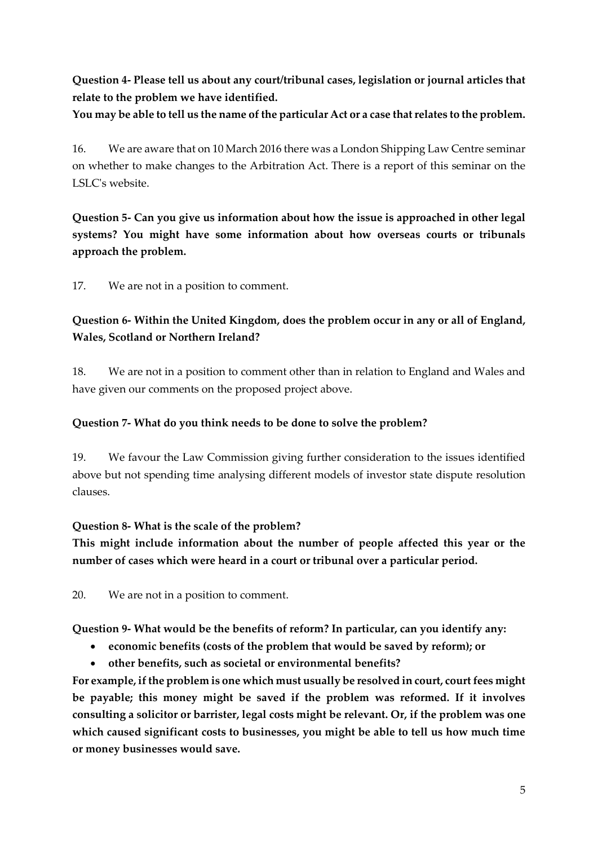**Question 4- Please tell us about any court/tribunal cases, legislation or journal articles that relate to the problem we have identified.**

**You may be able to tell us the name of the particular Act or a case that relates to the problem.**

16. We are aware that on 10 March 2016 there was a London Shipping Law Centre seminar on whether to make changes to the Arbitration Act. There is a report of this seminar on the LSLC's website.

**Question 5- Can you give us information about how the issue is approached in other legal systems? You might have some information about how overseas courts or tribunals approach the problem.**

17. We are not in a position to comment.

### **Question 6- Within the United Kingdom, does the problem occur in any or all of England, Wales, Scotland or Northern Ireland?**

18. We are not in a position to comment other than in relation to England and Wales and have given our comments on the proposed project above.

#### **Question 7- What do you think needs to be done to solve the problem?**

19. We favour the Law Commission giving further consideration to the issues identified above but not spending time analysing different models of investor state dispute resolution clauses.

#### **Question 8- What is the scale of the problem?**

**This might include information about the number of people affected this year or the number of cases which were heard in a court or tribunal over a particular period.**

20. We are not in a position to comment.

**Question 9- What would be the benefits of reform? In particular, can you identify any:** 

- **economic benefits (costs of the problem that would be saved by reform); or**
- **other benefits, such as societal or environmental benefits?**

**For example, if the problem is one which must usually be resolved in court, court fees might be payable; this money might be saved if the problem was reformed. If it involves consulting a solicitor or barrister, legal costs might be relevant. Or, if the problem was one which caused significant costs to businesses, you might be able to tell us how much time or money businesses would save.**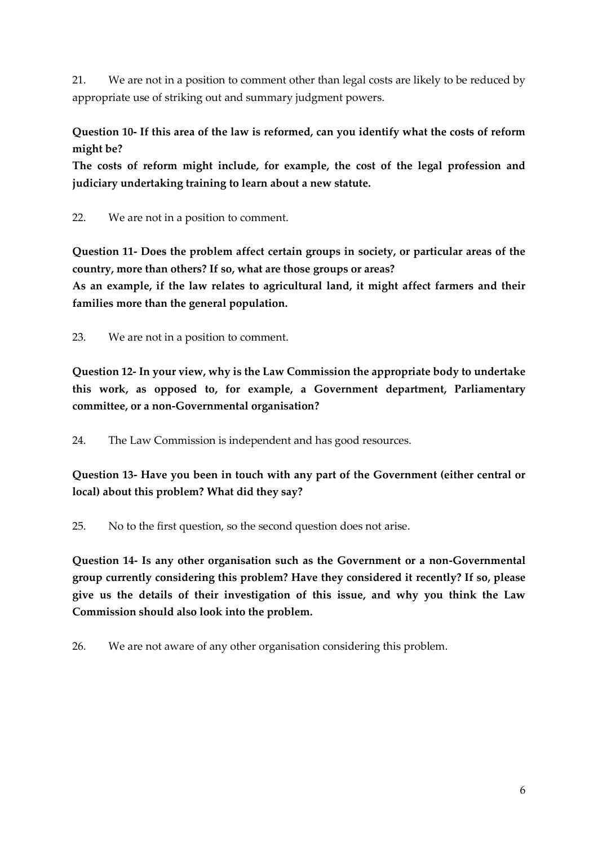21. We are not in a position to comment other than legal costs are likely to be reduced by appropriate use of striking out and summary judgment powers.

**Question 10- If this area of the law is reformed, can you identify what the costs of reform might be?**

**The costs of reform might include, for example, the cost of the legal profession and judiciary undertaking training to learn about a new statute.**

22. We are not in a position to comment.

**Question 11- Does the problem affect certain groups in society, or particular areas of the country, more than others? If so, what are those groups or areas? As an example, if the law relates to agricultural land, it might affect farmers and their families more than the general population.**

23. We are not in a position to comment.

**Question 12- In your view, why is the Law Commission the appropriate body to undertake this work, as opposed to, for example, a Government department, Parliamentary committee, or a non-Governmental organisation?**

24. The Law Commission is independent and has good resources.

**Question 13- Have you been in touch with any part of the Government (either central or local) about this problem? What did they say?**

25. No to the first question, so the second question does not arise.

**Question 14- Is any other organisation such as the Government or a non-Governmental group currently considering this problem? Have they considered it recently? If so, please give us the details of their investigation of this issue, and why you think the Law Commission should also look into the problem.**

26. We are not aware of any other organisation considering this problem.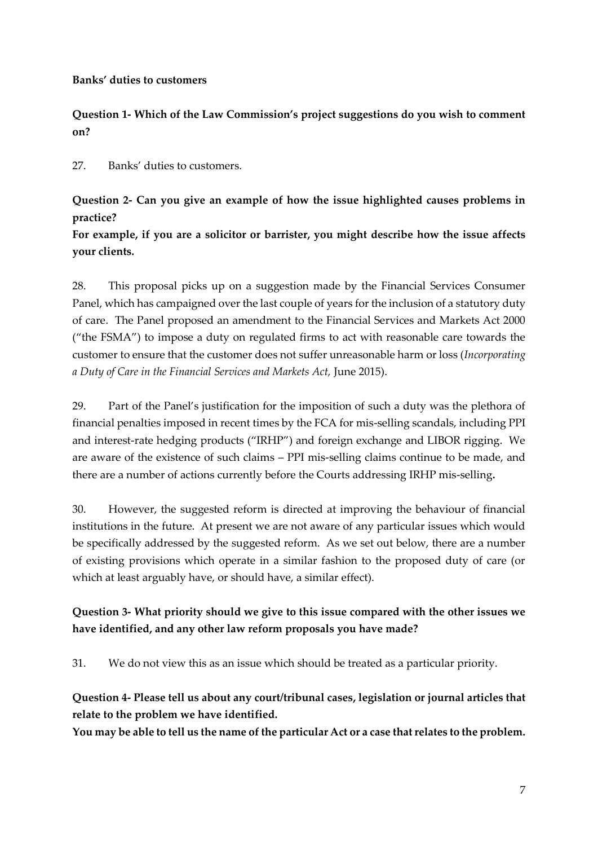#### <span id="page-6-0"></span>**Banks' duties to customers**

**Question 1- Which of the Law Commission's project suggestions do you wish to comment on?** 

27. Banks' duties to customers.

**Question 2- Can you give an example of how the issue highlighted causes problems in practice?**

**For example, if you are a solicitor or barrister, you might describe how the issue affects your clients.**

28. This proposal picks up on a suggestion made by the Financial Services Consumer Panel, which has campaigned over the last couple of years for the inclusion of a statutory duty of care. The Panel proposed an amendment to the Financial Services and Markets Act 2000 ("the FSMA") to impose a duty on regulated firms to act with reasonable care towards the customer to ensure that the customer does not suffer unreasonable harm or loss (*Incorporating a Duty of Care in the Financial Services and Markets Act,* June 2015).

29. Part of the Panel's justification for the imposition of such a duty was the plethora of financial penalties imposed in recent times by the FCA for mis-selling scandals, including PPI and interest-rate hedging products ("IRHP") and foreign exchange and LIBOR rigging. We are aware of the existence of such claims – PPI mis-selling claims continue to be made, and there are a number of actions currently before the Courts addressing IRHP mis-selling**.**

30. However, the suggested reform is directed at improving the behaviour of financial institutions in the future. At present we are not aware of any particular issues which would be specifically addressed by the suggested reform. As we set out below, there are a number of existing provisions which operate in a similar fashion to the proposed duty of care (or which at least arguably have, or should have, a similar effect).

### **Question 3- What priority should we give to this issue compared with the other issues we have identified, and any other law reform proposals you have made?**

31. We do not view this as an issue which should be treated as a particular priority.

**Question 4- Please tell us about any court/tribunal cases, legislation or journal articles that relate to the problem we have identified.**

**You may be able to tell us the name of the particular Act or a case that relates to the problem.**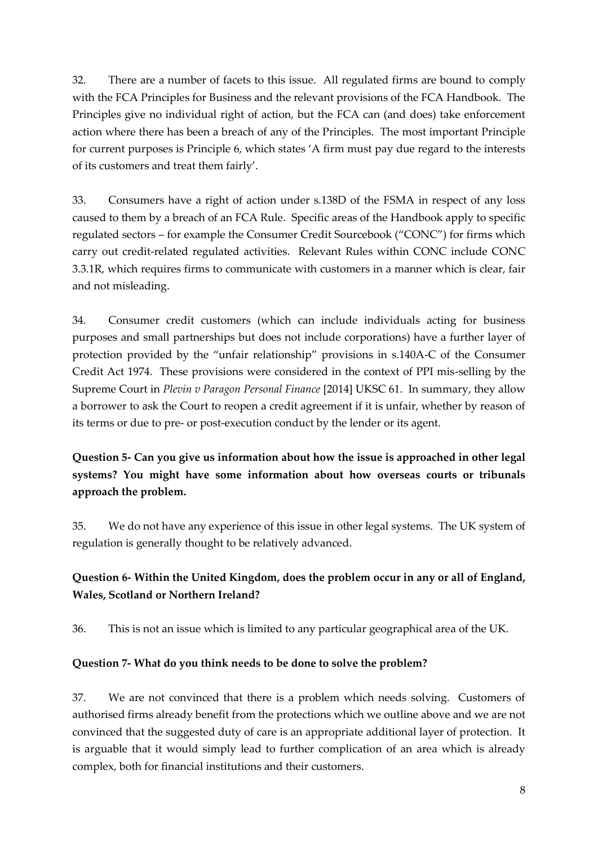32. There are a number of facets to this issue. All regulated firms are bound to comply with the FCA Principles for Business and the relevant provisions of the FCA Handbook. The Principles give no individual right of action, but the FCA can (and does) take enforcement action where there has been a breach of any of the Principles. The most important Principle for current purposes is Principle 6, which states 'A firm must pay due regard to the interests of its customers and treat them fairly'.

33. Consumers have a right of action under s.138D of the FSMA in respect of any loss caused to them by a breach of an FCA Rule. Specific areas of the Handbook apply to specific regulated sectors – for example the Consumer Credit Sourcebook ("CONC") for firms which carry out credit-related regulated activities. Relevant Rules within CONC include CONC 3.3.1R, which requires firms to communicate with customers in a manner which is clear, fair and not misleading.

34. Consumer credit customers (which can include individuals acting for business purposes and small partnerships but does not include corporations) have a further layer of protection provided by the "unfair relationship" provisions in s.140A-C of the Consumer Credit Act 1974. These provisions were considered in the context of PPI mis-selling by the Supreme Court in *Plevin v Paragon Personal Finance* [2014] UKSC 61. In summary, they allow a borrower to ask the Court to reopen a credit agreement if it is unfair, whether by reason of its terms or due to pre- or post-execution conduct by the lender or its agent.

**Question 5- Can you give us information about how the issue is approached in other legal systems? You might have some information about how overseas courts or tribunals approach the problem.**

35. We do not have any experience of this issue in other legal systems. The UK system of regulation is generally thought to be relatively advanced.

### **Question 6- Within the United Kingdom, does the problem occur in any or all of England, Wales, Scotland or Northern Ireland?**

36. This is not an issue which is limited to any particular geographical area of the UK.

#### **Question 7- What do you think needs to be done to solve the problem?**

37. We are not convinced that there is a problem which needs solving. Customers of authorised firms already benefit from the protections which we outline above and we are not convinced that the suggested duty of care is an appropriate additional layer of protection. It is arguable that it would simply lead to further complication of an area which is already complex, both for financial institutions and their customers.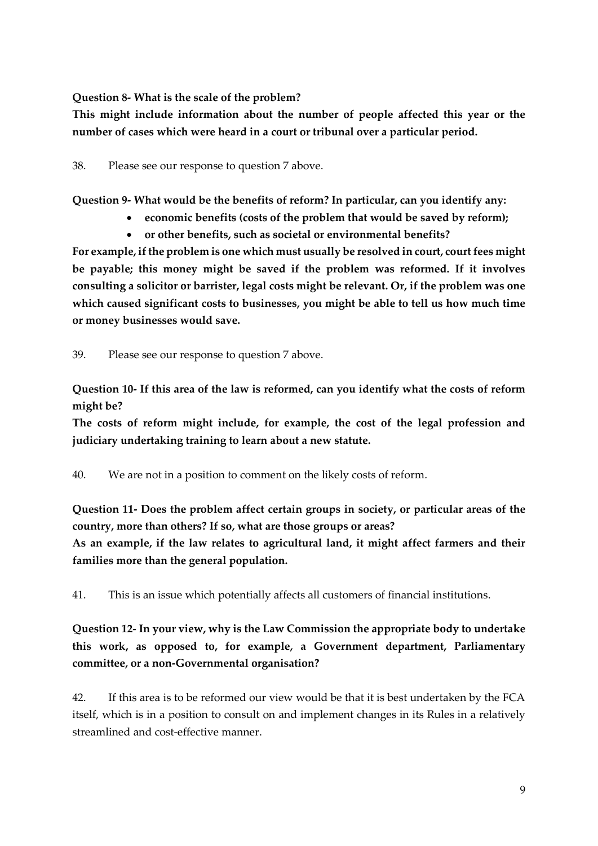**Question 8- What is the scale of the problem?**

**This might include information about the number of people affected this year or the number of cases which were heard in a court or tribunal over a particular period.**

38. Please see our response to question 7 above.

**Question 9- What would be the benefits of reform? In particular, can you identify any:** 

- **economic benefits (costs of the problem that would be saved by reform);**
- **or other benefits, such as societal or environmental benefits?**

**For example, if the problem is one which must usually be resolved in court, court fees might be payable; this money might be saved if the problem was reformed. If it involves consulting a solicitor or barrister, legal costs might be relevant. Or, if the problem was one which caused significant costs to businesses, you might be able to tell us how much time or money businesses would save.**

39. Please see our response to question 7 above.

**Question 10- If this area of the law is reformed, can you identify what the costs of reform might be?**

**The costs of reform might include, for example, the cost of the legal profession and judiciary undertaking training to learn about a new statute.**

40. We are not in a position to comment on the likely costs of reform.

**Question 11- Does the problem affect certain groups in society, or particular areas of the country, more than others? If so, what are those groups or areas?**

**As an example, if the law relates to agricultural land, it might affect farmers and their families more than the general population.**

41. This is an issue which potentially affects all customers of financial institutions.

**Question 12- In your view, why is the Law Commission the appropriate body to undertake this work, as opposed to, for example, a Government department, Parliamentary committee, or a non-Governmental organisation?**

42. If this area is to be reformed our view would be that it is best undertaken by the FCA itself, which is in a position to consult on and implement changes in its Rules in a relatively streamlined and cost-effective manner.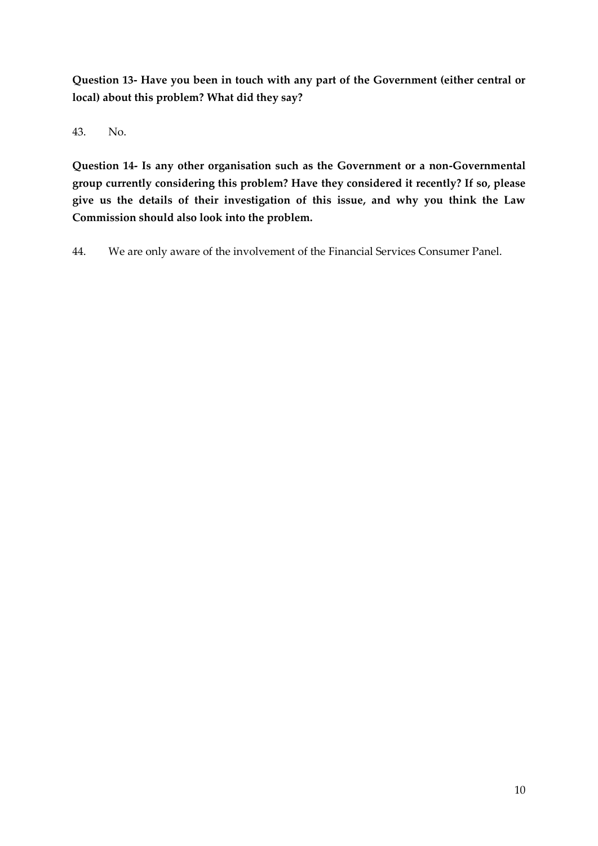**Question 13- Have you been in touch with any part of the Government (either central or local) about this problem? What did they say?**

43. No.

**Question 14- Is any other organisation such as the Government or a non-Governmental group currently considering this problem? Have they considered it recently? If so, please give us the details of their investigation of this issue, and why you think the Law Commission should also look into the problem.**

44. We are only aware of the involvement of the Financial Services Consumer Panel.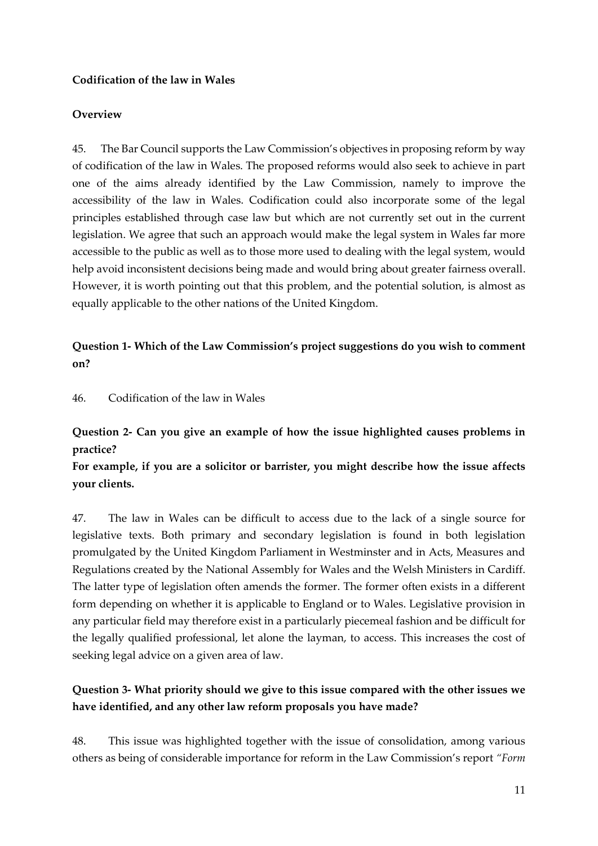#### <span id="page-10-0"></span>**Codification of the law in Wales**

#### **Overview**

45. The Bar Council supports the Law Commission's objectives in proposing reform by way of codification of the law in Wales. The proposed reforms would also seek to achieve in part one of the aims already identified by the Law Commission, namely to improve the accessibility of the law in Wales. Codification could also incorporate some of the legal principles established through case law but which are not currently set out in the current legislation. We agree that such an approach would make the legal system in Wales far more accessible to the public as well as to those more used to dealing with the legal system, would help avoid inconsistent decisions being made and would bring about greater fairness overall. However, it is worth pointing out that this problem, and the potential solution, is almost as equally applicable to the other nations of the United Kingdom.

#### **Question 1- Which of the Law Commission's project suggestions do you wish to comment on?**

46. Codification of the law in Wales

### **Question 2- Can you give an example of how the issue highlighted causes problems in practice?**

**For example, if you are a solicitor or barrister, you might describe how the issue affects your clients.**

47. The law in Wales can be difficult to access due to the lack of a single source for legislative texts. Both primary and secondary legislation is found in both legislation promulgated by the United Kingdom Parliament in Westminster and in Acts, Measures and Regulations created by the National Assembly for Wales and the Welsh Ministers in Cardiff. The latter type of legislation often amends the former. The former often exists in a different form depending on whether it is applicable to England or to Wales. Legislative provision in any particular field may therefore exist in a particularly piecemeal fashion and be difficult for the legally qualified professional, let alone the layman, to access. This increases the cost of seeking legal advice on a given area of law.

### **Question 3- What priority should we give to this issue compared with the other issues we have identified, and any other law reform proposals you have made?**

48. This issue was highlighted together with the issue of consolidation, among various others as being of considerable importance for reform in the Law Commission's report *"Form*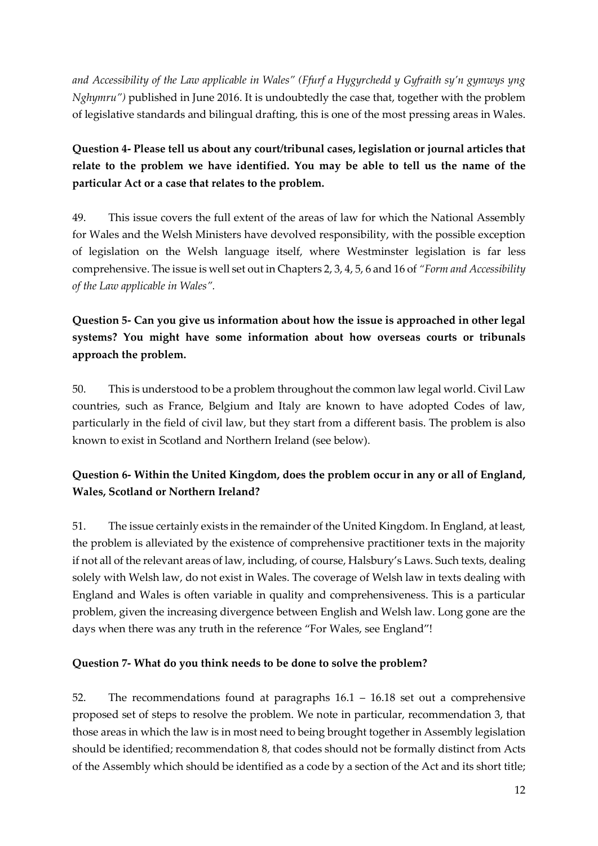*and Accessibility of the Law applicable in Wales" (Ffurf a Hygyrchedd y Gyfraith sy'n gymwys yng Nghymru")* published in June 2016. It is undoubtedly the case that, together with the problem of legislative standards and bilingual drafting, this is one of the most pressing areas in Wales.

### **Question 4- Please tell us about any court/tribunal cases, legislation or journal articles that relate to the problem we have identified. You may be able to tell us the name of the particular Act or a case that relates to the problem.**

49. This issue covers the full extent of the areas of law for which the National Assembly for Wales and the Welsh Ministers have devolved responsibility, with the possible exception of legislation on the Welsh language itself, where Westminster legislation is far less comprehensive. The issue is well set out in Chapters 2, 3, 4, 5, 6 and 16 of *"Form and Accessibility of the Law applicable in Wales".*

### **Question 5- Can you give us information about how the issue is approached in other legal systems? You might have some information about how overseas courts or tribunals approach the problem.**

50. This is understood to be a problem throughout the common law legal world. Civil Law countries, such as France, Belgium and Italy are known to have adopted Codes of law, particularly in the field of civil law, but they start from a different basis. The problem is also known to exist in Scotland and Northern Ireland (see below).

### **Question 6- Within the United Kingdom, does the problem occur in any or all of England, Wales, Scotland or Northern Ireland?**

51. The issue certainly exists in the remainder of the United Kingdom. In England, at least, the problem is alleviated by the existence of comprehensive practitioner texts in the majority if not all of the relevant areas of law, including, of course, Halsbury's Laws. Such texts, dealing solely with Welsh law, do not exist in Wales. The coverage of Welsh law in texts dealing with England and Wales is often variable in quality and comprehensiveness. This is a particular problem, given the increasing divergence between English and Welsh law. Long gone are the days when there was any truth in the reference "For Wales, see England"!

#### **Question 7- What do you think needs to be done to solve the problem?**

52. The recommendations found at paragraphs 16.1 – 16.18 set out a comprehensive proposed set of steps to resolve the problem. We note in particular, recommendation 3, that those areas in which the law is in most need to being brought together in Assembly legislation should be identified; recommendation 8, that codes should not be formally distinct from Acts of the Assembly which should be identified as a code by a section of the Act and its short title;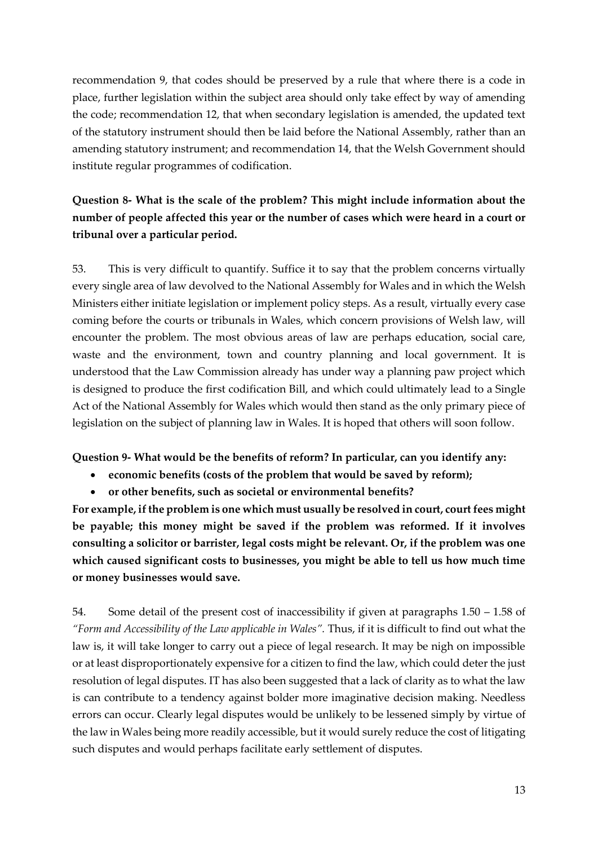recommendation 9, that codes should be preserved by a rule that where there is a code in place, further legislation within the subject area should only take effect by way of amending the code; recommendation 12, that when secondary legislation is amended, the updated text of the statutory instrument should then be laid before the National Assembly, rather than an amending statutory instrument; and recommendation 14, that the Welsh Government should institute regular programmes of codification.

### **Question 8- What is the scale of the problem? This might include information about the number of people affected this year or the number of cases which were heard in a court or tribunal over a particular period.**

53. This is very difficult to quantify. Suffice it to say that the problem concerns virtually every single area of law devolved to the National Assembly for Wales and in which the Welsh Ministers either initiate legislation or implement policy steps. As a result, virtually every case coming before the courts or tribunals in Wales, which concern provisions of Welsh law, will encounter the problem. The most obvious areas of law are perhaps education, social care, waste and the environment, town and country planning and local government. It is understood that the Law Commission already has under way a planning paw project which is designed to produce the first codification Bill, and which could ultimately lead to a Single Act of the National Assembly for Wales which would then stand as the only primary piece of legislation on the subject of planning law in Wales. It is hoped that others will soon follow.

**Question 9- What would be the benefits of reform? In particular, can you identify any:** 

- **economic benefits (costs of the problem that would be saved by reform);**
- **or other benefits, such as societal or environmental benefits?**

**For example, if the problem is one which must usually be resolved in court, court fees might be payable; this money might be saved if the problem was reformed. If it involves consulting a solicitor or barrister, legal costs might be relevant. Or, if the problem was one which caused significant costs to businesses, you might be able to tell us how much time or money businesses would save.**

54. Some detail of the present cost of inaccessibility if given at paragraphs 1.50 – 1.58 of *"Form and Accessibility of the Law applicable in Wales".* Thus, if it is difficult to find out what the law is, it will take longer to carry out a piece of legal research. It may be nigh on impossible or at least disproportionately expensive for a citizen to find the law, which could deter the just resolution of legal disputes. IT has also been suggested that a lack of clarity as to what the law is can contribute to a tendency against bolder more imaginative decision making. Needless errors can occur. Clearly legal disputes would be unlikely to be lessened simply by virtue of the law in Wales being more readily accessible, but it would surely reduce the cost of litigating such disputes and would perhaps facilitate early settlement of disputes.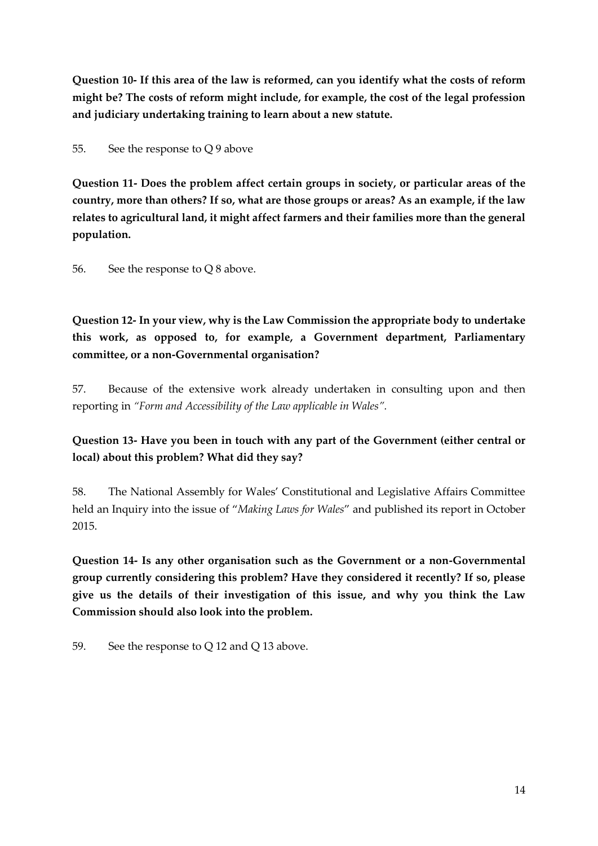**Question 10- If this area of the law is reformed, can you identify what the costs of reform might be? The costs of reform might include, for example, the cost of the legal profession and judiciary undertaking training to learn about a new statute.**

55. See the response to Q 9 above

**Question 11- Does the problem affect certain groups in society, or particular areas of the country, more than others? If so, what are those groups or areas? As an example, if the law relates to agricultural land, it might affect farmers and their families more than the general population.**

56. See the response to Q 8 above.

**Question 12- In your view, why is the Law Commission the appropriate body to undertake this work, as opposed to, for example, a Government department, Parliamentary committee, or a non-Governmental organisation?**

57. Because of the extensive work already undertaken in consulting upon and then reporting in *"Form and Accessibility of the Law applicable in Wales".*

**Question 13- Have you been in touch with any part of the Government (either central or local) about this problem? What did they say?**

58. The National Assembly for Wales' Constitutional and Legislative Affairs Committee held an Inquiry into the issue of "*Making Laws for Wales*" and published its report in October 2015.

**Question 14- Is any other organisation such as the Government or a non-Governmental group currently considering this problem? Have they considered it recently? If so, please give us the details of their investigation of this issue, and why you think the Law Commission should also look into the problem.**

59. See the response to Q 12 and Q 13 above.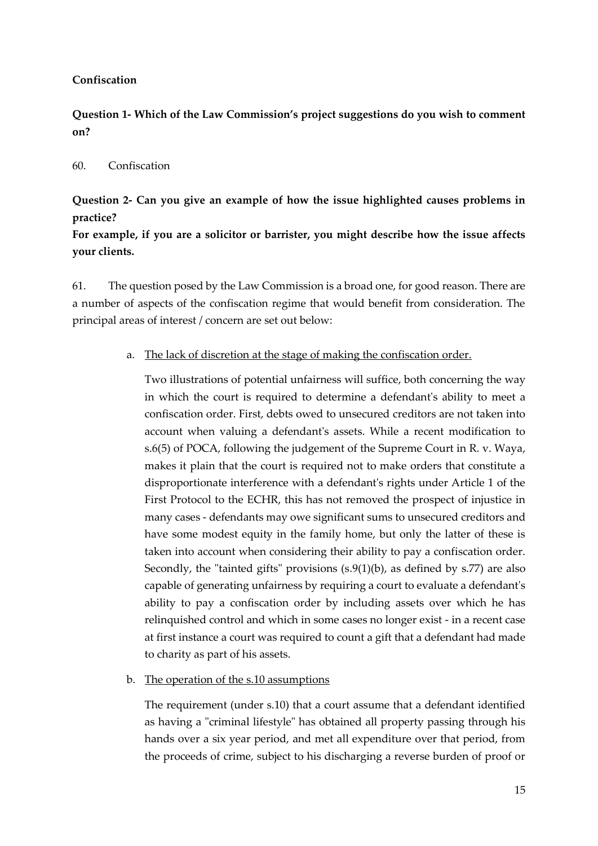#### <span id="page-14-0"></span>**Confiscation**

**Question 1- Which of the Law Commission's project suggestions do you wish to comment on?** 

#### 60. Confiscation

**Question 2- Can you give an example of how the issue highlighted causes problems in practice?**

**For example, if you are a solicitor or barrister, you might describe how the issue affects your clients.**

61. The question posed by the Law Commission is a broad one, for good reason. There are a number of aspects of the confiscation regime that would benefit from consideration. The principal areas of interest / concern are set out below:

#### a. The lack of discretion at the stage of making the confiscation order.

Two illustrations of potential unfairness will suffice, both concerning the way in which the court is required to determine a defendant's ability to meet a confiscation order. First, debts owed to unsecured creditors are not taken into account when valuing a defendant's assets. While a recent modification to s.6(5) of POCA, following the judgement of the Supreme Court in R. v. Waya, makes it plain that the court is required not to make orders that constitute a disproportionate interference with a defendant's rights under Article 1 of the First Protocol to the ECHR, this has not removed the prospect of injustice in many cases - defendants may owe significant sums to unsecured creditors and have some modest equity in the family home, but only the latter of these is taken into account when considering their ability to pay a confiscation order. Secondly, the "tainted gifts" provisions  $(s.9(1)(b)$ , as defined by s.77) are also capable of generating unfairness by requiring a court to evaluate a defendant's ability to pay a confiscation order by including assets over which he has relinquished control and which in some cases no longer exist - in a recent case at first instance a court was required to count a gift that a defendant had made to charity as part of his assets.

#### b. The operation of the s.10 assumptions

The requirement (under s.10) that a court assume that a defendant identified as having a "criminal lifestyle" has obtained all property passing through his hands over a six year period, and met all expenditure over that period, from the proceeds of crime, subject to his discharging a reverse burden of proof or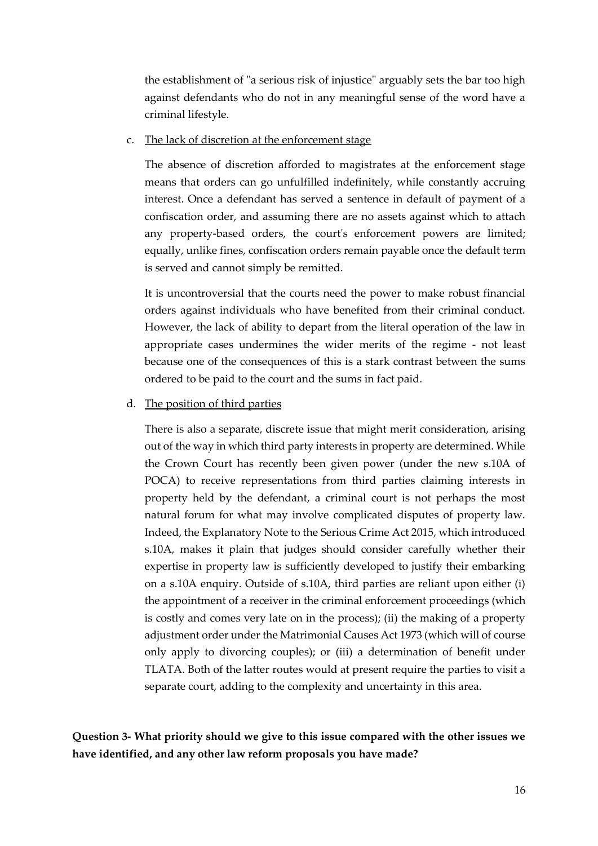the establishment of "a serious risk of injustice" arguably sets the bar too high against defendants who do not in any meaningful sense of the word have a criminal lifestyle.

c. The lack of discretion at the enforcement stage

The absence of discretion afforded to magistrates at the enforcement stage means that orders can go unfulfilled indefinitely, while constantly accruing interest. Once a defendant has served a sentence in default of payment of a confiscation order, and assuming there are no assets against which to attach any property-based orders, the court's enforcement powers are limited; equally, unlike fines, confiscation orders remain payable once the default term is served and cannot simply be remitted.

It is uncontroversial that the courts need the power to make robust financial orders against individuals who have benefited from their criminal conduct. However, the lack of ability to depart from the literal operation of the law in appropriate cases undermines the wider merits of the regime - not least because one of the consequences of this is a stark contrast between the sums ordered to be paid to the court and the sums in fact paid.

#### d. The position of third parties

There is also a separate, discrete issue that might merit consideration, arising out of the way in which third party interests in property are determined. While the Crown Court has recently been given power (under the new s.10A of POCA) to receive representations from third parties claiming interests in property held by the defendant, a criminal court is not perhaps the most natural forum for what may involve complicated disputes of property law. Indeed, the Explanatory Note to the Serious Crime Act 2015, which introduced s.10A, makes it plain that judges should consider carefully whether their expertise in property law is sufficiently developed to justify their embarking on a s.10A enquiry. Outside of s.10A, third parties are reliant upon either (i) the appointment of a receiver in the criminal enforcement proceedings (which is costly and comes very late on in the process); (ii) the making of a property adjustment order under the Matrimonial Causes Act 1973 (which will of course only apply to divorcing couples); or (iii) a determination of benefit under TLATA. Both of the latter routes would at present require the parties to visit a separate court, adding to the complexity and uncertainty in this area.

**Question 3- What priority should we give to this issue compared with the other issues we have identified, and any other law reform proposals you have made?**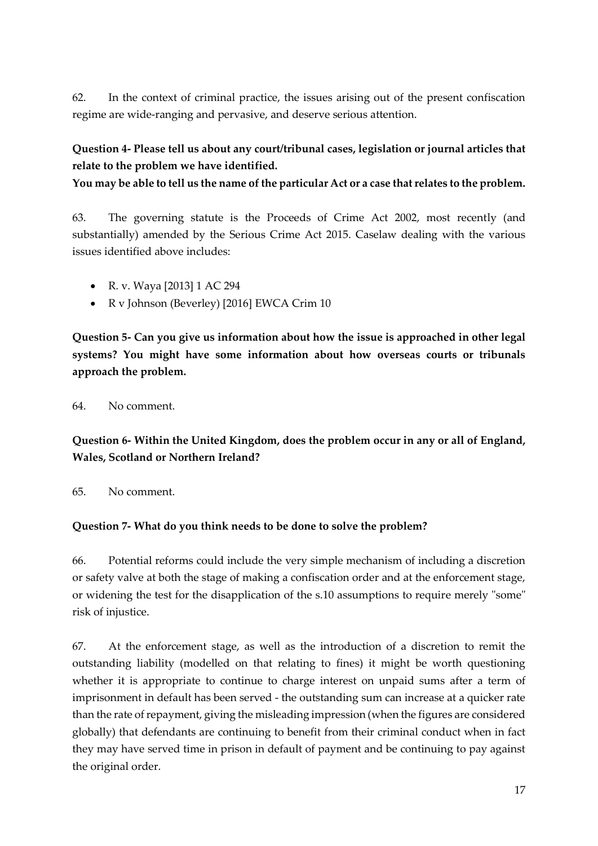62. In the context of criminal practice, the issues arising out of the present confiscation regime are wide-ranging and pervasive, and deserve serious attention.

### **Question 4- Please tell us about any court/tribunal cases, legislation or journal articles that relate to the problem we have identified.**

**You may be able to tell us the name of the particular Act or a case that relates to the problem.**

63. The governing statute is the Proceeds of Crime Act 2002, most recently (and substantially) amended by the Serious Crime Act 2015. Caselaw dealing with the various issues identified above includes:

- R. v. Waya [2013] 1 AC 294
- R v Johnson (Beverley) [2016] EWCA Crim 10

**Question 5- Can you give us information about how the issue is approached in other legal systems? You might have some information about how overseas courts or tribunals approach the problem.**

64. No comment.

**Question 6- Within the United Kingdom, does the problem occur in any or all of England, Wales, Scotland or Northern Ireland?**

65. No comment.

#### **Question 7- What do you think needs to be done to solve the problem?**

66. Potential reforms could include the very simple mechanism of including a discretion or safety valve at both the stage of making a confiscation order and at the enforcement stage, or widening the test for the disapplication of the s.10 assumptions to require merely "some" risk of injustice.

67. At the enforcement stage, as well as the introduction of a discretion to remit the outstanding liability (modelled on that relating to fines) it might be worth questioning whether it is appropriate to continue to charge interest on unpaid sums after a term of imprisonment in default has been served - the outstanding sum can increase at a quicker rate than the rate of repayment, giving the misleading impression (when the figures are considered globally) that defendants are continuing to benefit from their criminal conduct when in fact they may have served time in prison in default of payment and be continuing to pay against the original order.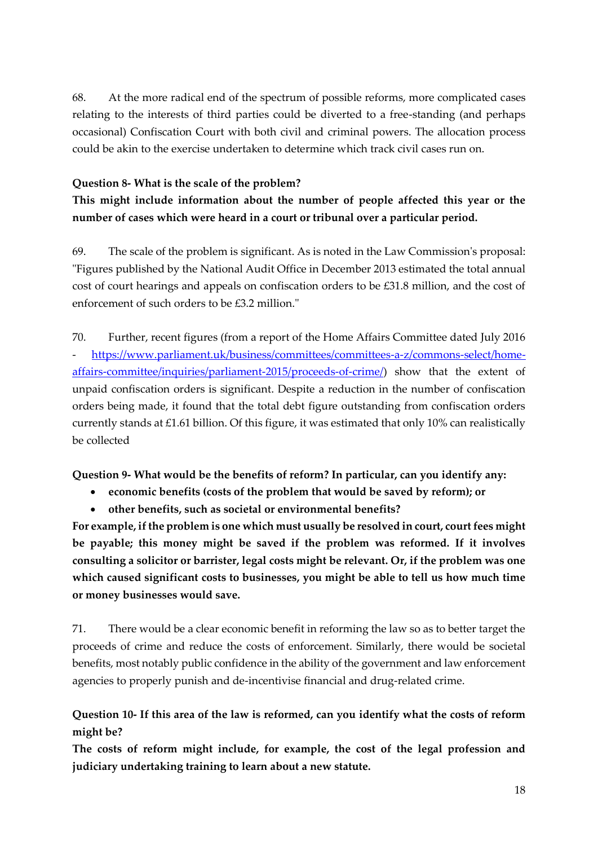68. At the more radical end of the spectrum of possible reforms, more complicated cases relating to the interests of third parties could be diverted to a free-standing (and perhaps occasional) Confiscation Court with both civil and criminal powers. The allocation process could be akin to the exercise undertaken to determine which track civil cases run on.

#### **Question 8- What is the scale of the problem?**

**This might include information about the number of people affected this year or the number of cases which were heard in a court or tribunal over a particular period.**

69. The scale of the problem is significant. As is noted in the Law Commission's proposal: "Figures published by the National Audit Office in December 2013 estimated the total annual cost of court hearings and appeals on confiscation orders to be £31.8 million, and the cost of enforcement of such orders to be £3.2 million."

70. Further, recent figures (from a report of the Home Affairs Committee dated July 2016 - [https://www.parliament.uk/business/committees/committees-a-z/commons-select/home](https://www.parliament.uk/business/committees/committees-a-z/commons-select/home-affairs-committee/inquiries/parliament-2015/proceeds-of-crime/)[affairs-committee/inquiries/parliament-2015/proceeds-of-crime/\)](https://www.parliament.uk/business/committees/committees-a-z/commons-select/home-affairs-committee/inquiries/parliament-2015/proceeds-of-crime/) show that the extent of unpaid confiscation orders is significant. Despite a reduction in the number of confiscation orders being made, it found that the total debt figure outstanding from confiscation orders currently stands at £1.61 billion. Of this figure, it was estimated that only 10% can realistically be collected

**Question 9- What would be the benefits of reform? In particular, can you identify any:** 

- **economic benefits (costs of the problem that would be saved by reform); or**
- **other benefits, such as societal or environmental benefits?**

**For example, if the problem is one which must usually be resolved in court, court fees might be payable; this money might be saved if the problem was reformed. If it involves consulting a solicitor or barrister, legal costs might be relevant. Or, if the problem was one which caused significant costs to businesses, you might be able to tell us how much time or money businesses would save.**

71. There would be a clear economic benefit in reforming the law so as to better target the proceeds of crime and reduce the costs of enforcement. Similarly, there would be societal benefits, most notably public confidence in the ability of the government and law enforcement agencies to properly punish and de-incentivise financial and drug-related crime.

**Question 10- If this area of the law is reformed, can you identify what the costs of reform might be?**

**The costs of reform might include, for example, the cost of the legal profession and judiciary undertaking training to learn about a new statute.**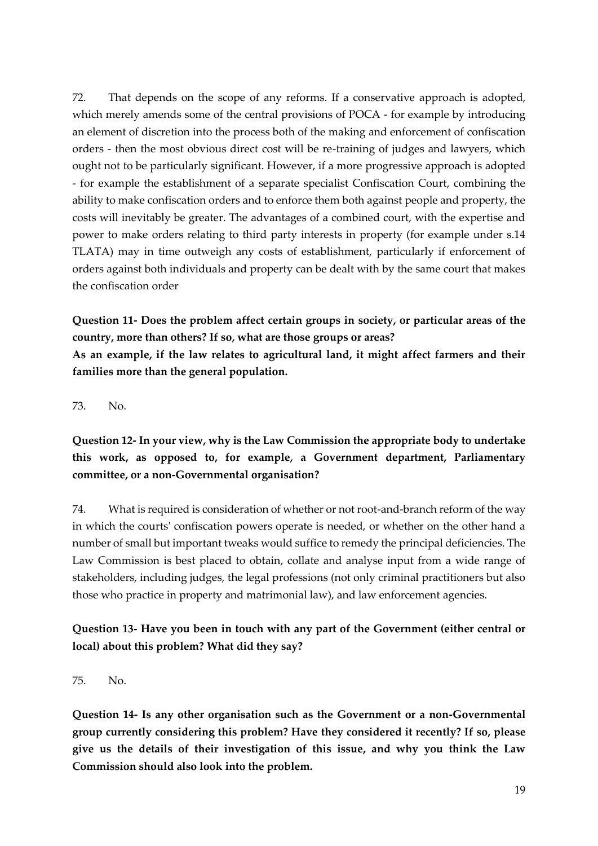72. That depends on the scope of any reforms. If a conservative approach is adopted, which merely amends some of the central provisions of POCA - for example by introducing an element of discretion into the process both of the making and enforcement of confiscation orders - then the most obvious direct cost will be re-training of judges and lawyers, which ought not to be particularly significant. However, if a more progressive approach is adopted - for example the establishment of a separate specialist Confiscation Court, combining the ability to make confiscation orders and to enforce them both against people and property, the costs will inevitably be greater. The advantages of a combined court, with the expertise and power to make orders relating to third party interests in property (for example under s.14 TLATA) may in time outweigh any costs of establishment, particularly if enforcement of orders against both individuals and property can be dealt with by the same court that makes the confiscation order

**Question 11- Does the problem affect certain groups in society, or particular areas of the country, more than others? If so, what are those groups or areas? As an example, if the law relates to agricultural land, it might affect farmers and their families more than the general population.**

73. No.

**Question 12- In your view, why is the Law Commission the appropriate body to undertake this work, as opposed to, for example, a Government department, Parliamentary committee, or a non-Governmental organisation?**

74. What is required is consideration of whether or not root-and-branch reform of the way in which the courts' confiscation powers operate is needed, or whether on the other hand a number of small but important tweaks would suffice to remedy the principal deficiencies. The Law Commission is best placed to obtain, collate and analyse input from a wide range of stakeholders, including judges, the legal professions (not only criminal practitioners but also those who practice in property and matrimonial law), and law enforcement agencies.

**Question 13- Have you been in touch with any part of the Government (either central or local) about this problem? What did they say?**

75. No.

**Question 14- Is any other organisation such as the Government or a non-Governmental group currently considering this problem? Have they considered it recently? If so, please give us the details of their investigation of this issue, and why you think the Law Commission should also look into the problem.**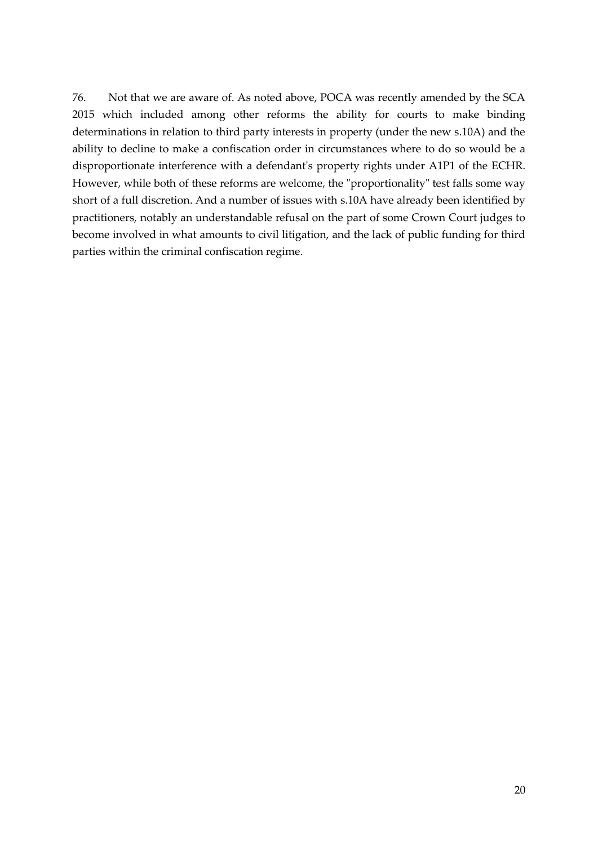76. Not that we are aware of. As noted above, POCA was recently amended by the SCA 2015 which included among other reforms the ability for courts to make binding determinations in relation to third party interests in property (under the new s.10A) and the ability to decline to make a confiscation order in circumstances where to do so would be a disproportionate interference with a defendant's property rights under A1P1 of the ECHR. However, while both of these reforms are welcome, the "proportionality" test falls some way short of a full discretion. And a number of issues with s.10A have already been identified by practitioners, notably an understandable refusal on the part of some Crown Court judges to become involved in what amounts to civil litigation, and the lack of public funding for third parties within the criminal confiscation regime.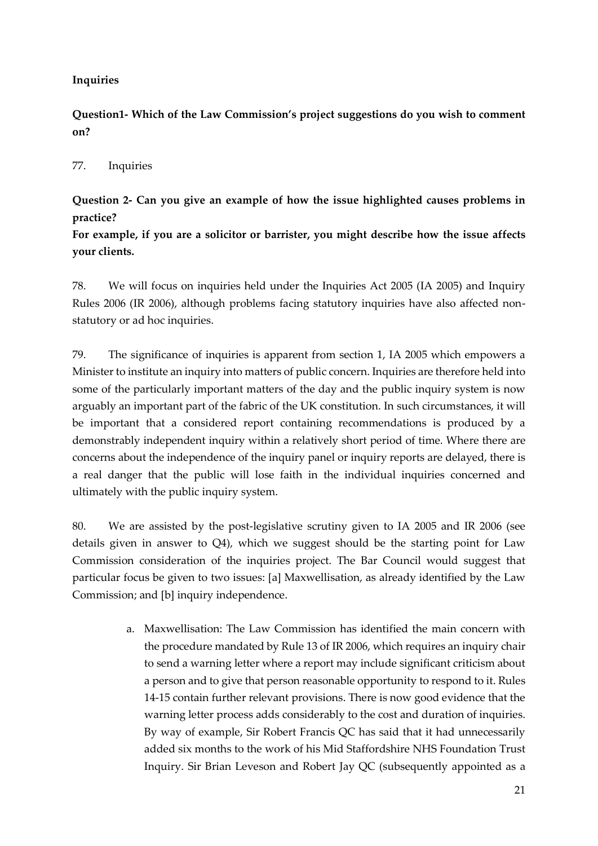#### <span id="page-20-0"></span>**Inquiries**

**Question1- Which of the Law Commission's project suggestions do you wish to comment on?** 

#### 77. Inquiries

**Question 2- Can you give an example of how the issue highlighted causes problems in practice?**

**For example, if you are a solicitor or barrister, you might describe how the issue affects your clients.**

78. We will focus on inquiries held under the Inquiries Act 2005 (IA 2005) and Inquiry Rules 2006 (IR 2006), although problems facing statutory inquiries have also affected nonstatutory or ad hoc inquiries.

79. The significance of inquiries is apparent from section 1, IA 2005 which empowers a Minister to institute an inquiry into matters of public concern. Inquiries are therefore held into some of the particularly important matters of the day and the public inquiry system is now arguably an important part of the fabric of the UK constitution. In such circumstances, it will be important that a considered report containing recommendations is produced by a demonstrably independent inquiry within a relatively short period of time. Where there are concerns about the independence of the inquiry panel or inquiry reports are delayed, there is a real danger that the public will lose faith in the individual inquiries concerned and ultimately with the public inquiry system.

80. We are assisted by the post-legislative scrutiny given to IA 2005 and IR 2006 (see details given in answer to Q4), which we suggest should be the starting point for Law Commission consideration of the inquiries project. The Bar Council would suggest that particular focus be given to two issues: [a] Maxwellisation, as already identified by the Law Commission; and [b] inquiry independence.

> a. Maxwellisation: The Law Commission has identified the main concern with the procedure mandated by Rule 13 of IR 2006, which requires an inquiry chair to send a warning letter where a report may include significant criticism about a person and to give that person reasonable opportunity to respond to it. Rules 14-15 contain further relevant provisions. There is now good evidence that the warning letter process adds considerably to the cost and duration of inquiries. By way of example, Sir Robert Francis QC has said that it had unnecessarily added six months to the work of his Mid Staffordshire NHS Foundation Trust Inquiry. Sir Brian Leveson and Robert Jay QC (subsequently appointed as a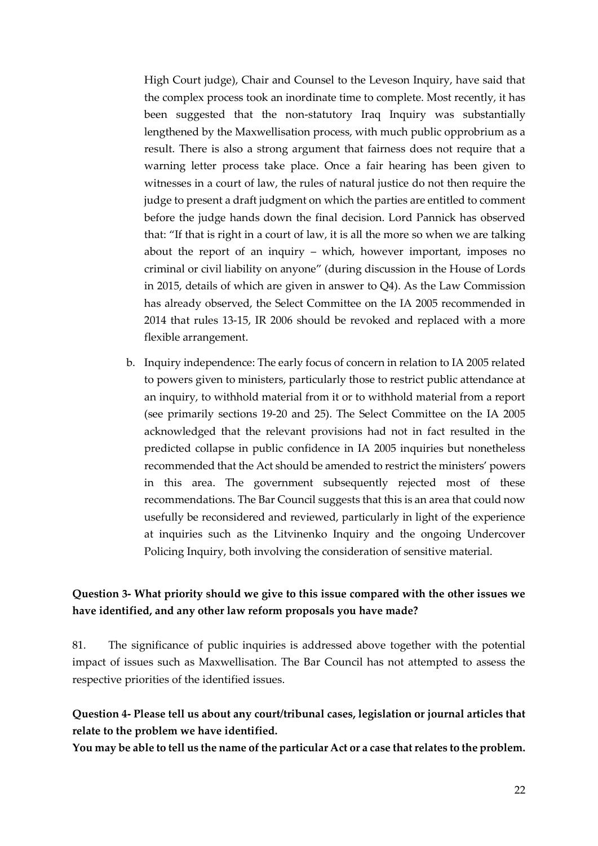High Court judge), Chair and Counsel to the Leveson Inquiry, have said that the complex process took an inordinate time to complete. Most recently, it has been suggested that the non-statutory Iraq Inquiry was substantially lengthened by the Maxwellisation process, with much public opprobrium as a result. There is also a strong argument that fairness does not require that a warning letter process take place. Once a fair hearing has been given to witnesses in a court of law, the rules of natural justice do not then require the judge to present a draft judgment on which the parties are entitled to comment before the judge hands down the final decision. Lord Pannick has observed that: "If that is right in a court of law, it is all the more so when we are talking about the report of an inquiry – which, however important, imposes no criminal or civil liability on anyone" (during discussion in the House of Lords in 2015, details of which are given in answer to Q4). As the Law Commission has already observed, the Select Committee on the IA 2005 recommended in 2014 that rules 13-15, IR 2006 should be revoked and replaced with a more flexible arrangement.

b. Inquiry independence: The early focus of concern in relation to IA 2005 related to powers given to ministers, particularly those to restrict public attendance at an inquiry, to withhold material from it or to withhold material from a report (see primarily sections 19-20 and 25). The Select Committee on the IA 2005 acknowledged that the relevant provisions had not in fact resulted in the predicted collapse in public confidence in IA 2005 inquiries but nonetheless recommended that the Act should be amended to restrict the ministers' powers in this area. The government subsequently rejected most of these recommendations. The Bar Council suggests that this is an area that could now usefully be reconsidered and reviewed, particularly in light of the experience at inquiries such as the Litvinenko Inquiry and the ongoing Undercover Policing Inquiry, both involving the consideration of sensitive material.

#### **Question 3- What priority should we give to this issue compared with the other issues we have identified, and any other law reform proposals you have made?**

81. The significance of public inquiries is addressed above together with the potential impact of issues such as Maxwellisation. The Bar Council has not attempted to assess the respective priorities of the identified issues.

#### **Question 4- Please tell us about any court/tribunal cases, legislation or journal articles that relate to the problem we have identified.**

**You may be able to tell us the name of the particular Act or a case that relates to the problem.**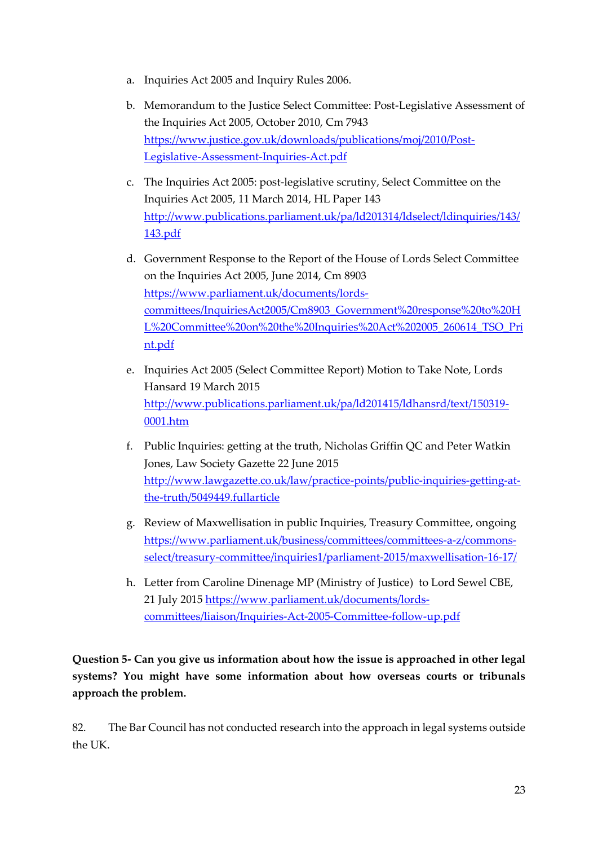- a. Inquiries Act 2005 and Inquiry Rules 2006.
- b. Memorandum to the Justice Select Committee: Post-Legislative Assessment of the Inquiries Act 2005, October 2010, Cm 7943 [https://www.justice.gov.uk/downloads/publications/moj/2010/Post-](https://www.justice.gov.uk/downloads/publications/moj/2010/Post-Legislative-Assessment-Inquiries-Act.pdf)[Legislative-Assessment-Inquiries-Act.pdf](https://www.justice.gov.uk/downloads/publications/moj/2010/Post-Legislative-Assessment-Inquiries-Act.pdf)
- c. The Inquiries Act 2005: post-legislative scrutiny, Select Committee on the Inquiries Act 2005, 11 March 2014, HL Paper 143 [http://www.publications.parliament.uk/pa/ld201314/ldselect/ldinquiries/143/](http://www.publications.parliament.uk/pa/ld201314/ldselect/ldinquiries/143/143.pdf) [143.pdf](http://www.publications.parliament.uk/pa/ld201314/ldselect/ldinquiries/143/143.pdf)
- d. Government Response to the Report of the House of Lords Select Committee on the Inquiries Act 2005, June 2014, Cm 8903 [https://www.parliament.uk/documents/lords](https://www.parliament.uk/documents/lords-committees/InquiriesAct2005/Cm8903_Government%20response%20to%20HL%20Committee%20on%20the%20Inquiries%20Act%202005_260614_TSO_Print.pdf)[committees/InquiriesAct2005/Cm8903\\_Government%20response%20to%20H](https://www.parliament.uk/documents/lords-committees/InquiriesAct2005/Cm8903_Government%20response%20to%20HL%20Committee%20on%20the%20Inquiries%20Act%202005_260614_TSO_Print.pdf) [L%20Committee%20on%20the%20Inquiries%20Act%202005\\_260614\\_TSO\\_Pri](https://www.parliament.uk/documents/lords-committees/InquiriesAct2005/Cm8903_Government%20response%20to%20HL%20Committee%20on%20the%20Inquiries%20Act%202005_260614_TSO_Print.pdf) [nt.pdf](https://www.parliament.uk/documents/lords-committees/InquiriesAct2005/Cm8903_Government%20response%20to%20HL%20Committee%20on%20the%20Inquiries%20Act%202005_260614_TSO_Print.pdf)
- e. Inquiries Act 2005 (Select Committee Report) Motion to Take Note, Lords Hansard 19 March 2015 [http://www.publications.parliament.uk/pa/ld201415/ldhansrd/text/150319-](http://www.publications.parliament.uk/pa/ld201415/ldhansrd/text/150319-0001.htm) [0001.htm](http://www.publications.parliament.uk/pa/ld201415/ldhansrd/text/150319-0001.htm)
- f. Public Inquiries: getting at the truth, Nicholas Griffin QC and Peter Watkin Jones, Law Society Gazette 22 June 2015 [http://www.lawgazette.co.uk/law/practice-points/public-inquiries-getting-at](http://www.lawgazette.co.uk/law/practice-points/public-inquiries-getting-at-the-truth/5049449.fullarticle)[the-truth/5049449.fullarticle](http://www.lawgazette.co.uk/law/practice-points/public-inquiries-getting-at-the-truth/5049449.fullarticle)
- g. Review of Maxwellisation in public Inquiries, Treasury Committee, ongoing [https://www.parliament.uk/business/committees/committees-a-z/commons](https://www.parliament.uk/business/committees/committees-a-z/commons-select/treasury-committee/inquiries1/parliament-2015/maxwellisation-16-17/)[select/treasury-committee/inquiries1/parliament-2015/maxwellisation-16-17/](https://www.parliament.uk/business/committees/committees-a-z/commons-select/treasury-committee/inquiries1/parliament-2015/maxwellisation-16-17/)
- h. Letter from Caroline Dinenage MP (Ministry of Justice) to Lord Sewel CBE, 21 July 2015 [https://www.parliament.uk/documents/lords](https://www.parliament.uk/documents/lords-committees/liaison/Inquiries-Act-2005-Committee-follow-up.pdf)[committees/liaison/Inquiries-Act-2005-Committee-follow-up.pdf](https://www.parliament.uk/documents/lords-committees/liaison/Inquiries-Act-2005-Committee-follow-up.pdf)

**Question 5- Can you give us information about how the issue is approached in other legal systems? You might have some information about how overseas courts or tribunals approach the problem.**

82. The Bar Council has not conducted research into the approach in legal systems outside the UK.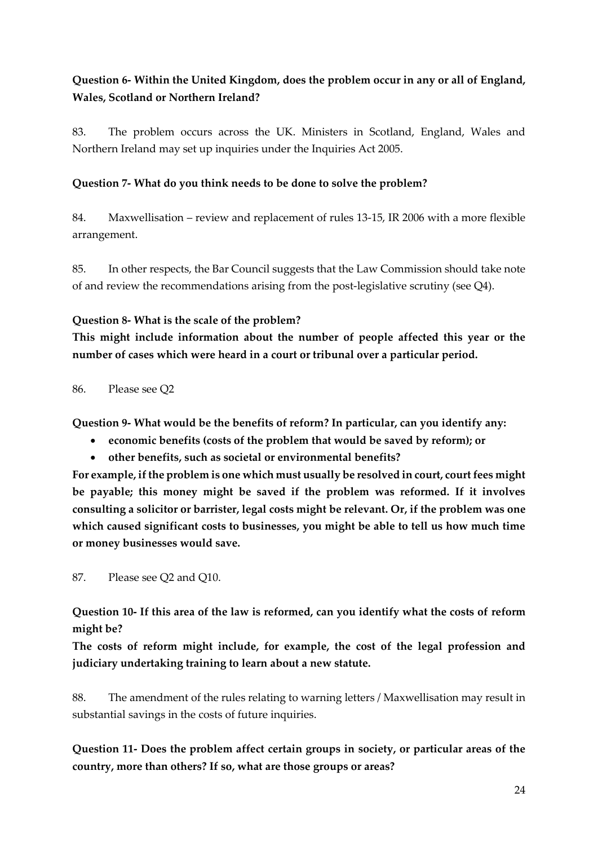### **Question 6- Within the United Kingdom, does the problem occur in any or all of England, Wales, Scotland or Northern Ireland?**

83. The problem occurs across the UK. Ministers in Scotland, England, Wales and Northern Ireland may set up inquiries under the Inquiries Act 2005.

#### **Question 7- What do you think needs to be done to solve the problem?**

84. Maxwellisation – review and replacement of rules 13-15, IR 2006 with a more flexible arrangement.

85. In other respects, the Bar Council suggests that the Law Commission should take note of and review the recommendations arising from the post-legislative scrutiny (see Q4).

#### **Question 8- What is the scale of the problem?**

**This might include information about the number of people affected this year or the number of cases which were heard in a court or tribunal over a particular period.**

86. Please see Q2

**Question 9- What would be the benefits of reform? In particular, can you identify any:** 

- **economic benefits (costs of the problem that would be saved by reform); or**
- **other benefits, such as societal or environmental benefits?**

**For example, if the problem is one which must usually be resolved in court, court fees might be payable; this money might be saved if the problem was reformed. If it involves consulting a solicitor or barrister, legal costs might be relevant. Or, if the problem was one which caused significant costs to businesses, you might be able to tell us how much time or money businesses would save.**

87. Please see Q2 and Q10.

**Question 10- If this area of the law is reformed, can you identify what the costs of reform might be?**

**The costs of reform might include, for example, the cost of the legal profession and judiciary undertaking training to learn about a new statute.**

88. The amendment of the rules relating to warning letters / Maxwellisation may result in substantial savings in the costs of future inquiries.

**Question 11- Does the problem affect certain groups in society, or particular areas of the country, more than others? If so, what are those groups or areas?**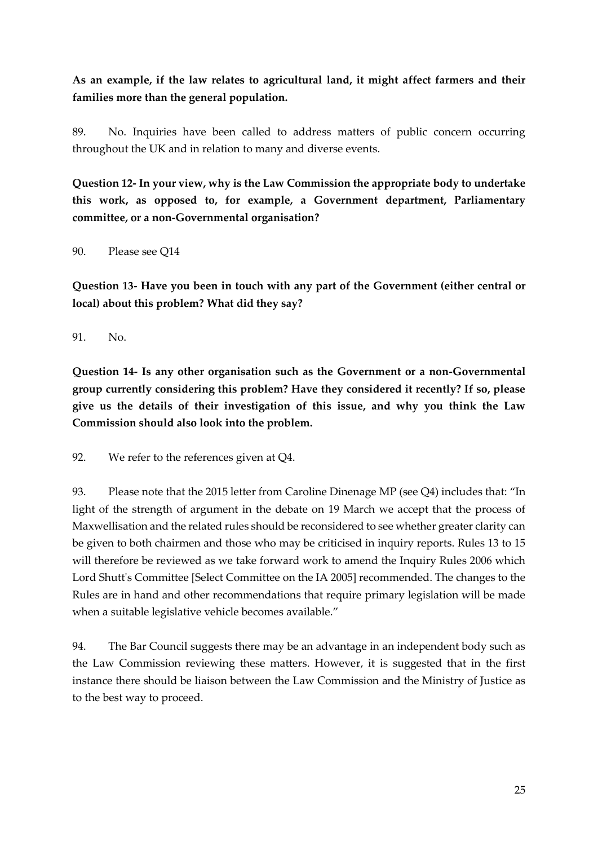**As an example, if the law relates to agricultural land, it might affect farmers and their families more than the general population.**

89. No. Inquiries have been called to address matters of public concern occurring throughout the UK and in relation to many and diverse events.

**Question 12- In your view, why is the Law Commission the appropriate body to undertake this work, as opposed to, for example, a Government department, Parliamentary committee, or a non-Governmental organisation?**

90. Please see Q14

**Question 13- Have you been in touch with any part of the Government (either central or local) about this problem? What did they say?**

91. No.

**Question 14- Is any other organisation such as the Government or a non-Governmental group currently considering this problem? Have they considered it recently? If so, please give us the details of their investigation of this issue, and why you think the Law Commission should also look into the problem.**

92. We refer to the references given at Q4.

93. Please note that the 2015 letter from Caroline Dinenage MP (see Q4) includes that: "In light of the strength of argument in the debate on 19 March we accept that the process of Maxwellisation and the related rules should be reconsidered to see whether greater clarity can be given to both chairmen and those who may be criticised in inquiry reports. Rules 13 to 15 will therefore be reviewed as we take forward work to amend the Inquiry Rules 2006 which Lord Shutt's Committee [Select Committee on the IA 2005] recommended. The changes to the Rules are in hand and other recommendations that require primary legislation will be made when a suitable legislative vehicle becomes available."

94. The Bar Council suggests there may be an advantage in an independent body such as the Law Commission reviewing these matters. However, it is suggested that in the first instance there should be liaison between the Law Commission and the Ministry of Justice as to the best way to proceed.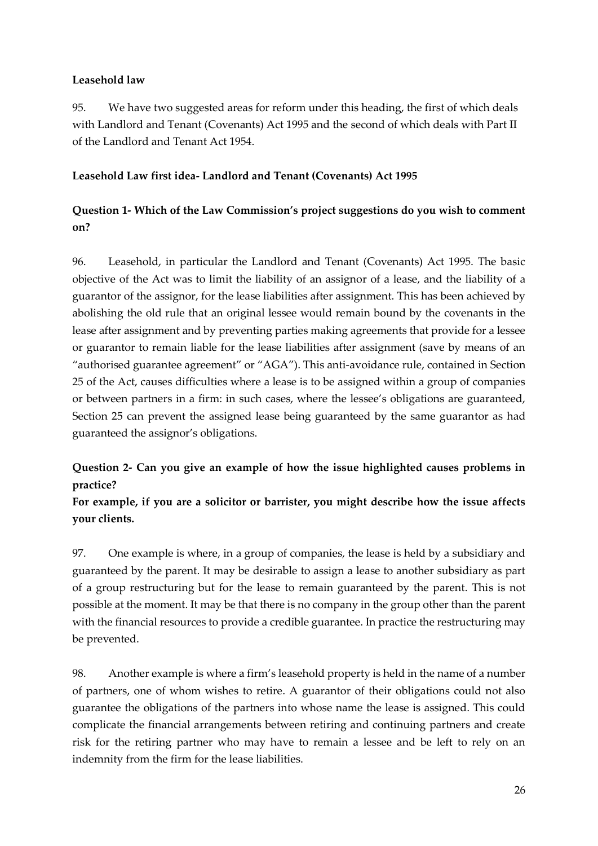#### **Leasehold law**

95. We have two suggested areas for reform under this heading, the first of which deals with Landlord and Tenant (Covenants) Act 1995 and the second of which deals with Part II of the Landlord and Tenant Act 1954.

#### <span id="page-25-0"></span>**Leasehold Law first idea- Landlord and Tenant (Covenants) Act 1995**

### **Question 1- Which of the Law Commission's project suggestions do you wish to comment on?**

96. Leasehold, in particular the Landlord and Tenant (Covenants) Act 1995. The basic objective of the Act was to limit the liability of an assignor of a lease, and the liability of a guarantor of the assignor, for the lease liabilities after assignment. This has been achieved by abolishing the old rule that an original lessee would remain bound by the covenants in the lease after assignment and by preventing parties making agreements that provide for a lessee or guarantor to remain liable for the lease liabilities after assignment (save by means of an "authorised guarantee agreement" or "AGA"). This anti-avoidance rule, contained in Section 25 of the Act, causes difficulties where a lease is to be assigned within a group of companies or between partners in a firm: in such cases, where the lessee's obligations are guaranteed, Section 25 can prevent the assigned lease being guaranteed by the same guarantor as had guaranteed the assignor's obligations.

### **Question 2- Can you give an example of how the issue highlighted causes problems in practice?**

### **For example, if you are a solicitor or barrister, you might describe how the issue affects your clients.**

97. One example is where, in a group of companies, the lease is held by a subsidiary and guaranteed by the parent. It may be desirable to assign a lease to another subsidiary as part of a group restructuring but for the lease to remain guaranteed by the parent. This is not possible at the moment. It may be that there is no company in the group other than the parent with the financial resources to provide a credible guarantee. In practice the restructuring may be prevented.

98. Another example is where a firm's leasehold property is held in the name of a number of partners, one of whom wishes to retire. A guarantor of their obligations could not also guarantee the obligations of the partners into whose name the lease is assigned. This could complicate the financial arrangements between retiring and continuing partners and create risk for the retiring partner who may have to remain a lessee and be left to rely on an indemnity from the firm for the lease liabilities.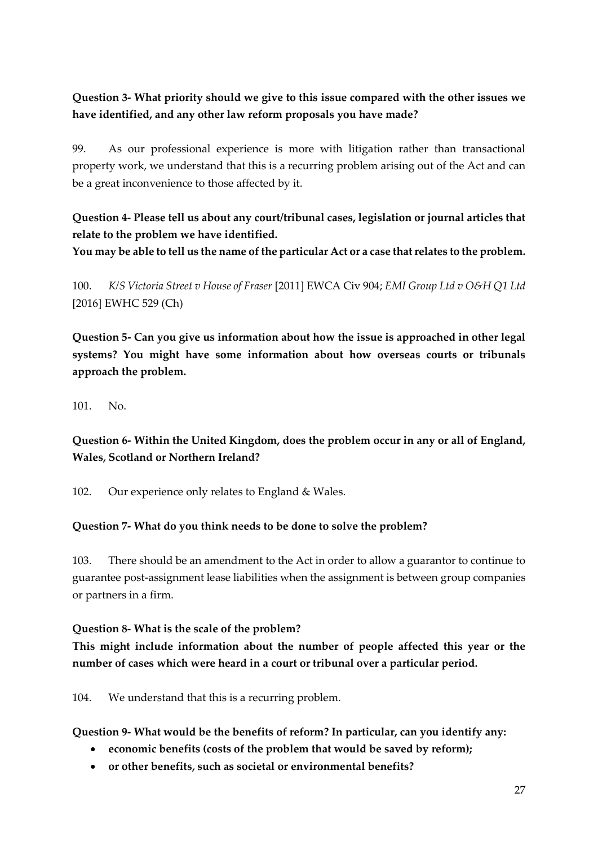### **Question 3- What priority should we give to this issue compared with the other issues we have identified, and any other law reform proposals you have made?**

99. As our professional experience is more with litigation rather than transactional property work, we understand that this is a recurring problem arising out of the Act and can be a great inconvenience to those affected by it.

**Question 4- Please tell us about any court/tribunal cases, legislation or journal articles that relate to the problem we have identified.**

**You may be able to tell us the name of the particular Act or a case that relates to the problem.**

100. *K/S Victoria Street v House of Fraser* [2011] EWCA Civ 904; *EMI Group Ltd v O&H Q1 Ltd*  [2016] EWHC 529 (Ch)

**Question 5- Can you give us information about how the issue is approached in other legal systems? You might have some information about how overseas courts or tribunals approach the problem.**

101. No.

**Question 6- Within the United Kingdom, does the problem occur in any or all of England, Wales, Scotland or Northern Ireland?**

102. Our experience only relates to England & Wales.

#### **Question 7- What do you think needs to be done to solve the problem?**

103. There should be an amendment to the Act in order to allow a guarantor to continue to guarantee post-assignment lease liabilities when the assignment is between group companies or partners in a firm.

#### **Question 8- What is the scale of the problem?**

**This might include information about the number of people affected this year or the number of cases which were heard in a court or tribunal over a particular period.**

104. We understand that this is a recurring problem.

**Question 9- What would be the benefits of reform? In particular, can you identify any:** 

- **economic benefits (costs of the problem that would be saved by reform);**
- **or other benefits, such as societal or environmental benefits?**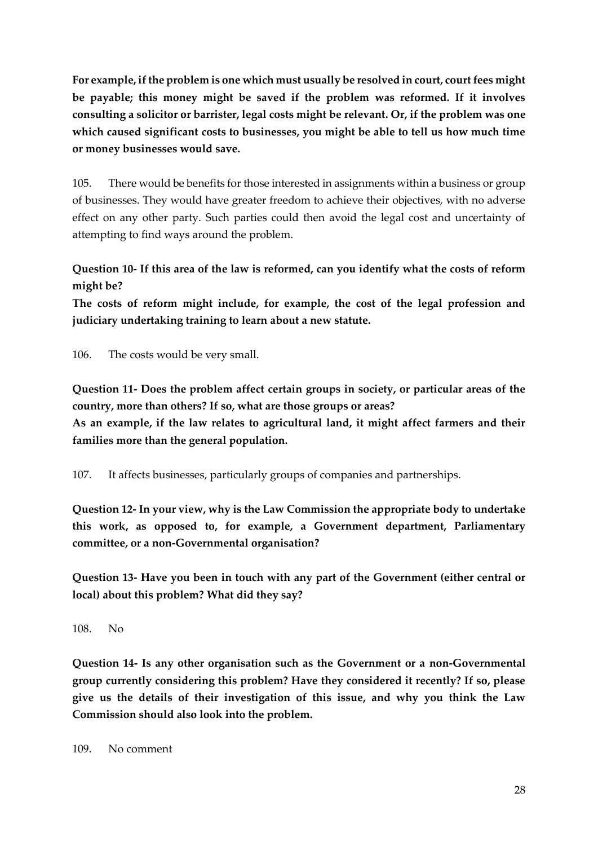**For example, if the problem is one which must usually be resolved in court, court fees might be payable; this money might be saved if the problem was reformed. If it involves consulting a solicitor or barrister, legal costs might be relevant. Or, if the problem was one which caused significant costs to businesses, you might be able to tell us how much time or money businesses would save.**

105. There would be benefits for those interested in assignments within a business or group of businesses. They would have greater freedom to achieve their objectives, with no adverse effect on any other party. Such parties could then avoid the legal cost and uncertainty of attempting to find ways around the problem.

**Question 10- If this area of the law is reformed, can you identify what the costs of reform might be?**

**The costs of reform might include, for example, the cost of the legal profession and judiciary undertaking training to learn about a new statute.**

106. The costs would be very small.

**Question 11- Does the problem affect certain groups in society, or particular areas of the country, more than others? If so, what are those groups or areas? As an example, if the law relates to agricultural land, it might affect farmers and their families more than the general population.**

107. It affects businesses, particularly groups of companies and partnerships.

**Question 12- In your view, why is the Law Commission the appropriate body to undertake this work, as opposed to, for example, a Government department, Parliamentary committee, or a non-Governmental organisation?**

**Question 13- Have you been in touch with any part of the Government (either central or local) about this problem? What did they say?**

108. No

**Question 14- Is any other organisation such as the Government or a non-Governmental group currently considering this problem? Have they considered it recently? If so, please give us the details of their investigation of this issue, and why you think the Law Commission should also look into the problem.**

109. No comment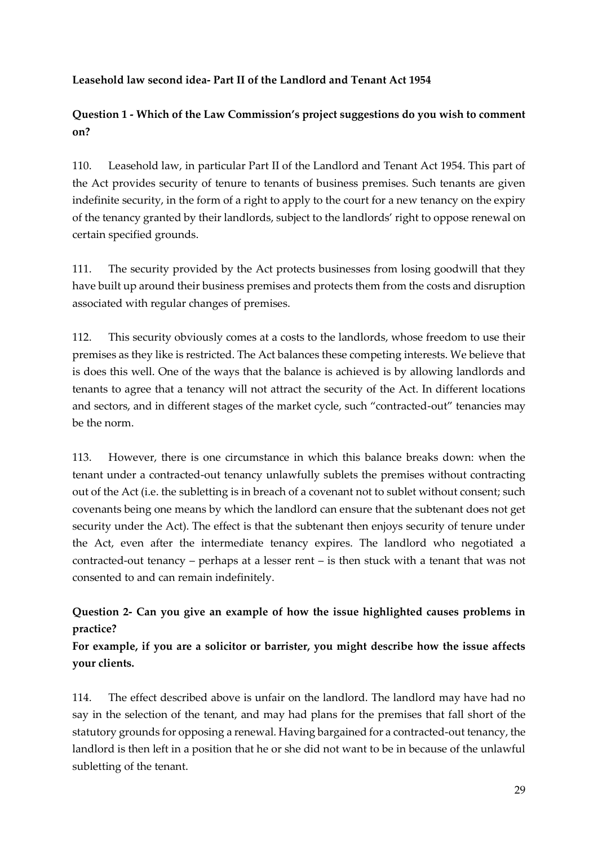#### <span id="page-28-0"></span>**Leasehold law second idea- Part II of the Landlord and Tenant Act 1954**

**Question 1 - Which of the Law Commission's project suggestions do you wish to comment on?** 

110. Leasehold law, in particular Part II of the Landlord and Tenant Act 1954. This part of the Act provides security of tenure to tenants of business premises. Such tenants are given indefinite security, in the form of a right to apply to the court for a new tenancy on the expiry of the tenancy granted by their landlords, subject to the landlords' right to oppose renewal on certain specified grounds.

111. The security provided by the Act protects businesses from losing goodwill that they have built up around their business premises and protects them from the costs and disruption associated with regular changes of premises.

112. This security obviously comes at a costs to the landlords, whose freedom to use their premises as they like is restricted. The Act balances these competing interests. We believe that is does this well. One of the ways that the balance is achieved is by allowing landlords and tenants to agree that a tenancy will not attract the security of the Act. In different locations and sectors, and in different stages of the market cycle, such "contracted-out" tenancies may be the norm.

113. However, there is one circumstance in which this balance breaks down: when the tenant under a contracted-out tenancy unlawfully sublets the premises without contracting out of the Act (i.e. the subletting is in breach of a covenant not to sublet without consent; such covenants being one means by which the landlord can ensure that the subtenant does not get security under the Act). The effect is that the subtenant then enjoys security of tenure under the Act, even after the intermediate tenancy expires. The landlord who negotiated a contracted-out tenancy – perhaps at a lesser rent – is then stuck with a tenant that was not consented to and can remain indefinitely.

#### **Question 2- Can you give an example of how the issue highlighted causes problems in practice?**

**For example, if you are a solicitor or barrister, you might describe how the issue affects your clients.**

114. The effect described above is unfair on the landlord. The landlord may have had no say in the selection of the tenant, and may had plans for the premises that fall short of the statutory grounds for opposing a renewal. Having bargained for a contracted-out tenancy, the landlord is then left in a position that he or she did not want to be in because of the unlawful subletting of the tenant.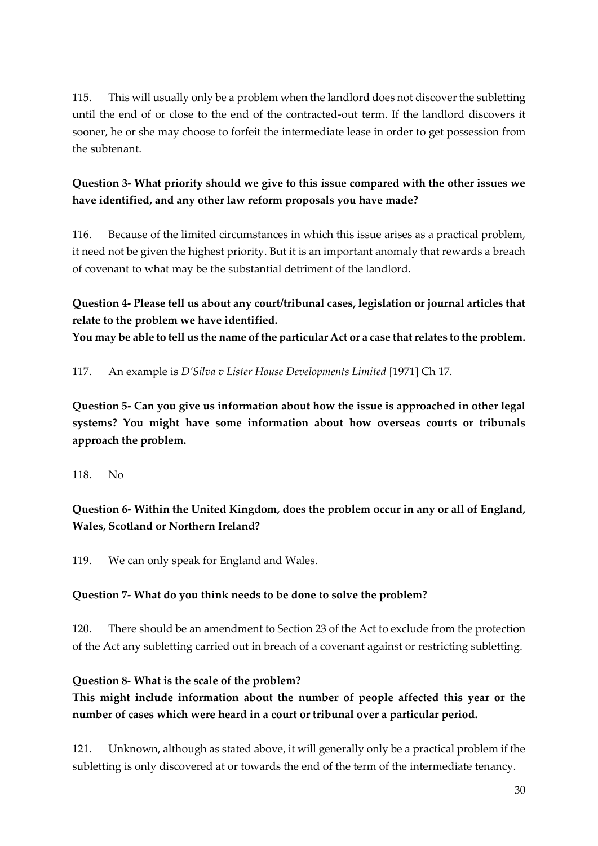115. This will usually only be a problem when the landlord does not discover the subletting until the end of or close to the end of the contracted-out term. If the landlord discovers it sooner, he or she may choose to forfeit the intermediate lease in order to get possession from the subtenant.

### **Question 3- What priority should we give to this issue compared with the other issues we have identified, and any other law reform proposals you have made?**

116. Because of the limited circumstances in which this issue arises as a practical problem, it need not be given the highest priority. But it is an important anomaly that rewards a breach of covenant to what may be the substantial detriment of the landlord.

**Question 4- Please tell us about any court/tribunal cases, legislation or journal articles that relate to the problem we have identified.**

**You may be able to tell us the name of the particular Act or a case that relates to the problem.**

117. An example is *D'Silva v Lister House Developments Limited* [1971] Ch 17.

**Question 5- Can you give us information about how the issue is approached in other legal systems? You might have some information about how overseas courts or tribunals approach the problem.**

118. No

**Question 6- Within the United Kingdom, does the problem occur in any or all of England, Wales, Scotland or Northern Ireland?**

119. We can only speak for England and Wales.

#### **Question 7- What do you think needs to be done to solve the problem?**

120. There should be an amendment to Section 23 of the Act to exclude from the protection of the Act any subletting carried out in breach of a covenant against or restricting subletting.

#### **Question 8- What is the scale of the problem?**

**This might include information about the number of people affected this year or the number of cases which were heard in a court or tribunal over a particular period.**

121. Unknown, although as stated above, it will generally only be a practical problem if the subletting is only discovered at or towards the end of the term of the intermediate tenancy.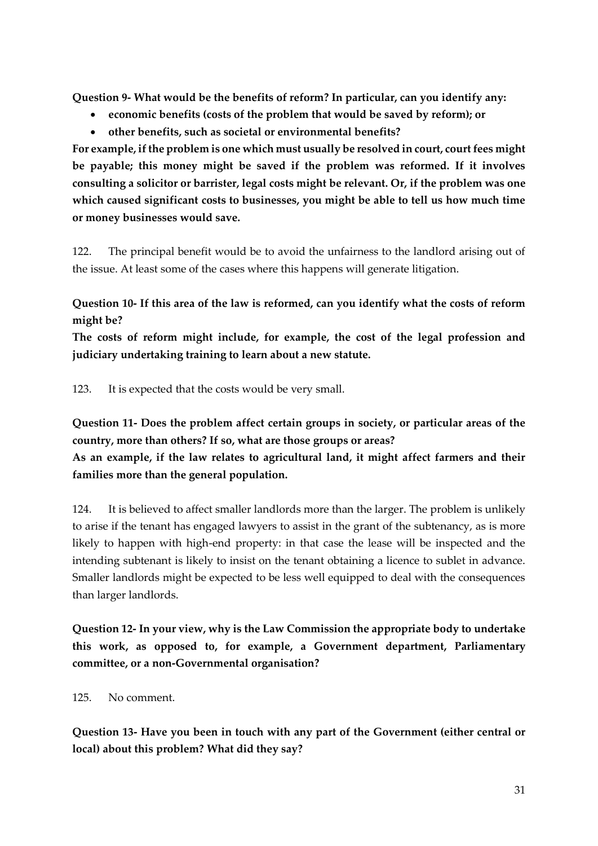**Question 9- What would be the benefits of reform? In particular, can you identify any:** 

- **economic benefits (costs of the problem that would be saved by reform); or**
- **other benefits, such as societal or environmental benefits?**

**For example, if the problem is one which must usually be resolved in court, court fees might be payable; this money might be saved if the problem was reformed. If it involves consulting a solicitor or barrister, legal costs might be relevant. Or, if the problem was one which caused significant costs to businesses, you might be able to tell us how much time or money businesses would save.**

122. The principal benefit would be to avoid the unfairness to the landlord arising out of the issue. At least some of the cases where this happens will generate litigation.

**Question 10- If this area of the law is reformed, can you identify what the costs of reform might be?**

**The costs of reform might include, for example, the cost of the legal profession and judiciary undertaking training to learn about a new statute.**

123. It is expected that the costs would be very small.

**Question 11- Does the problem affect certain groups in society, or particular areas of the country, more than others? If so, what are those groups or areas? As an example, if the law relates to agricultural land, it might affect farmers and their families more than the general population.**

124. It is believed to affect smaller landlords more than the larger. The problem is unlikely to arise if the tenant has engaged lawyers to assist in the grant of the subtenancy, as is more likely to happen with high-end property: in that case the lease will be inspected and the intending subtenant is likely to insist on the tenant obtaining a licence to sublet in advance. Smaller landlords might be expected to be less well equipped to deal with the consequences than larger landlords.

**Question 12- In your view, why is the Law Commission the appropriate body to undertake this work, as opposed to, for example, a Government department, Parliamentary committee, or a non-Governmental organisation?**

125. No comment.

**Question 13- Have you been in touch with any part of the Government (either central or local) about this problem? What did they say?**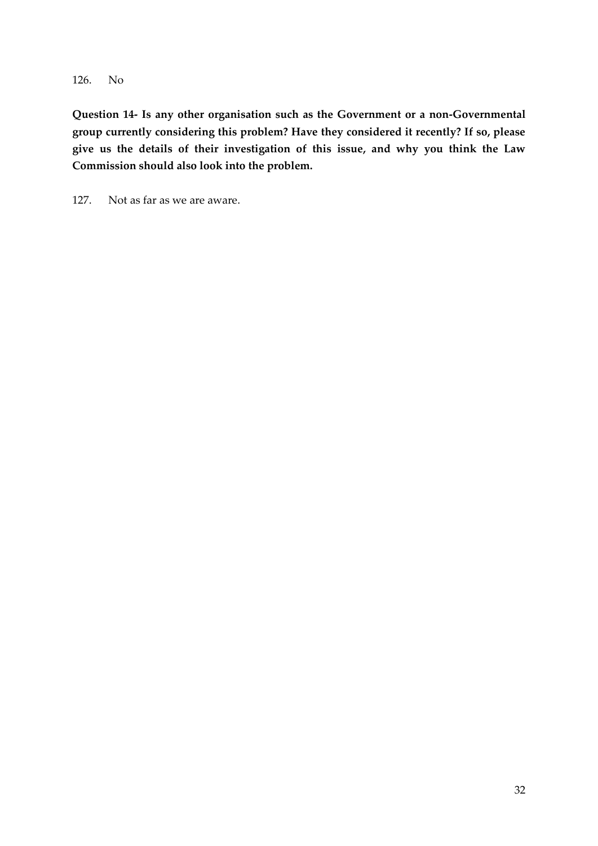126. No

**Question 14- Is any other organisation such as the Government or a non-Governmental group currently considering this problem? Have they considered it recently? If so, please give us the details of their investigation of this issue, and why you think the Law Commission should also look into the problem.**

127. Not as far as we are aware.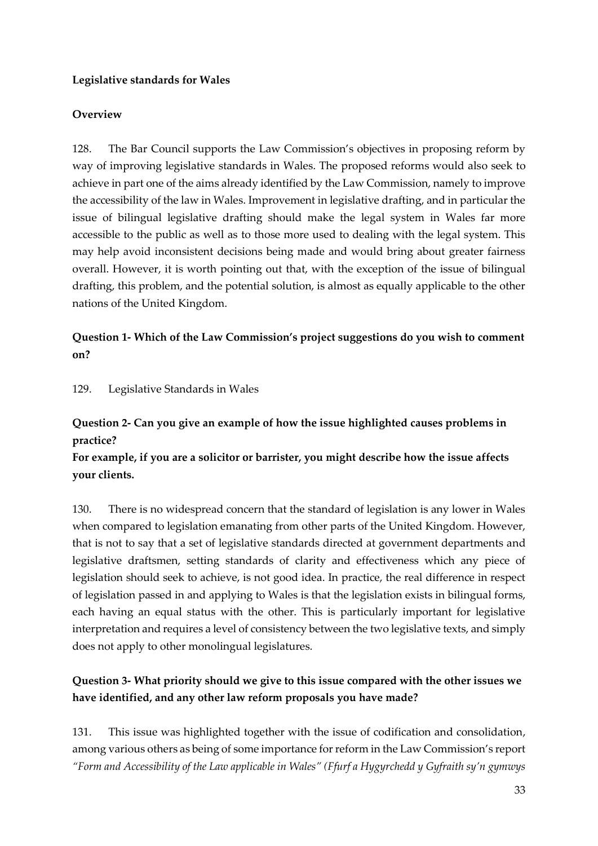#### <span id="page-32-0"></span>**Legislative standards for Wales**

#### **Overview**

128. The Bar Council supports the Law Commission's objectives in proposing reform by way of improving legislative standards in Wales. The proposed reforms would also seek to achieve in part one of the aims already identified by the Law Commission, namely to improve the accessibility of the law in Wales. Improvement in legislative drafting, and in particular the issue of bilingual legislative drafting should make the legal system in Wales far more accessible to the public as well as to those more used to dealing with the legal system. This may help avoid inconsistent decisions being made and would bring about greater fairness overall. However, it is worth pointing out that, with the exception of the issue of bilingual drafting, this problem, and the potential solution, is almost as equally applicable to the other nations of the United Kingdom.

#### **Question 1- Which of the Law Commission's project suggestions do you wish to comment on?**

129. Legislative Standards in Wales

#### **Question 2- Can you give an example of how the issue highlighted causes problems in practice?**

**For example, if you are a solicitor or barrister, you might describe how the issue affects your clients.**

130. There is no widespread concern that the standard of legislation is any lower in Wales when compared to legislation emanating from other parts of the United Kingdom. However, that is not to say that a set of legislative standards directed at government departments and legislative draftsmen, setting standards of clarity and effectiveness which any piece of legislation should seek to achieve, is not good idea. In practice, the real difference in respect of legislation passed in and applying to Wales is that the legislation exists in bilingual forms, each having an equal status with the other. This is particularly important for legislative interpretation and requires a level of consistency between the two legislative texts, and simply does not apply to other monolingual legislatures.

### **Question 3- What priority should we give to this issue compared with the other issues we have identified, and any other law reform proposals you have made?**

131. This issue was highlighted together with the issue of codification and consolidation, among various others as being of some importance for reform in the Law Commission's report *"Form and Accessibility of the Law applicable in Wales" (Ffurf a Hygyrchedd y Gyfraith sy'n gymwys*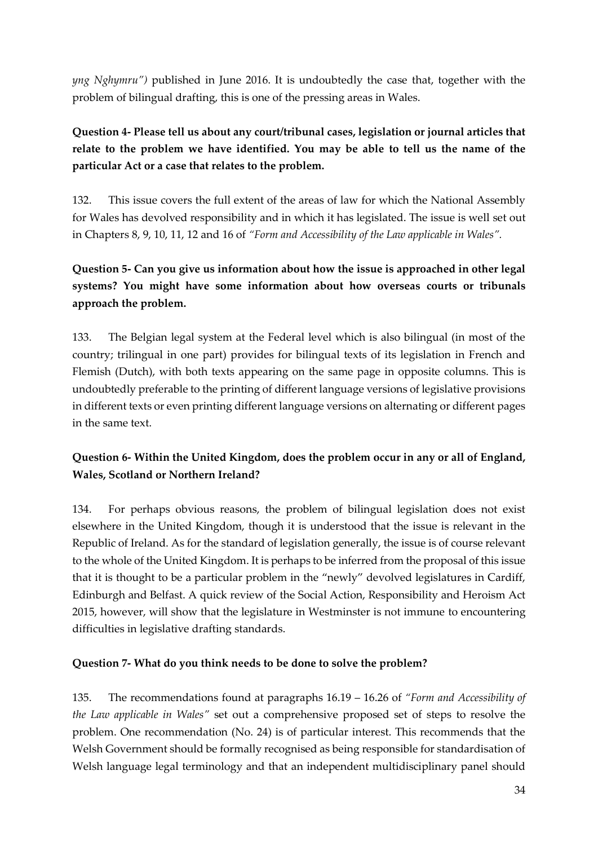*yng Nghymru")* published in June 2016. It is undoubtedly the case that, together with the problem of bilingual drafting, this is one of the pressing areas in Wales.

### **Question 4- Please tell us about any court/tribunal cases, legislation or journal articles that relate to the problem we have identified. You may be able to tell us the name of the particular Act or a case that relates to the problem.**

132. This issue covers the full extent of the areas of law for which the National Assembly for Wales has devolved responsibility and in which it has legislated. The issue is well set out in Chapters 8, 9, 10, 11, 12 and 16 of *"Form and Accessibility of the Law applicable in Wales".*

### **Question 5- Can you give us information about how the issue is approached in other legal systems? You might have some information about how overseas courts or tribunals approach the problem.**

133. The Belgian legal system at the Federal level which is also bilingual (in most of the country; trilingual in one part) provides for bilingual texts of its legislation in French and Flemish (Dutch), with both texts appearing on the same page in opposite columns. This is undoubtedly preferable to the printing of different language versions of legislative provisions in different texts or even printing different language versions on alternating or different pages in the same text.

### **Question 6- Within the United Kingdom, does the problem occur in any or all of England, Wales, Scotland or Northern Ireland?**

134. For perhaps obvious reasons, the problem of bilingual legislation does not exist elsewhere in the United Kingdom, though it is understood that the issue is relevant in the Republic of Ireland. As for the standard of legislation generally, the issue is of course relevant to the whole of the United Kingdom. It is perhaps to be inferred from the proposal of this issue that it is thought to be a particular problem in the "newly" devolved legislatures in Cardiff, Edinburgh and Belfast. A quick review of the Social Action, Responsibility and Heroism Act 2015, however, will show that the legislature in Westminster is not immune to encountering difficulties in legislative drafting standards.

#### **Question 7- What do you think needs to be done to solve the problem?**

135. The recommendations found at paragraphs 16.19 – 16.26 of *"Form and Accessibility of the Law applicable in Wales"* set out a comprehensive proposed set of steps to resolve the problem. One recommendation (No. 24) is of particular interest. This recommends that the Welsh Government should be formally recognised as being responsible for standardisation of Welsh language legal terminology and that an independent multidisciplinary panel should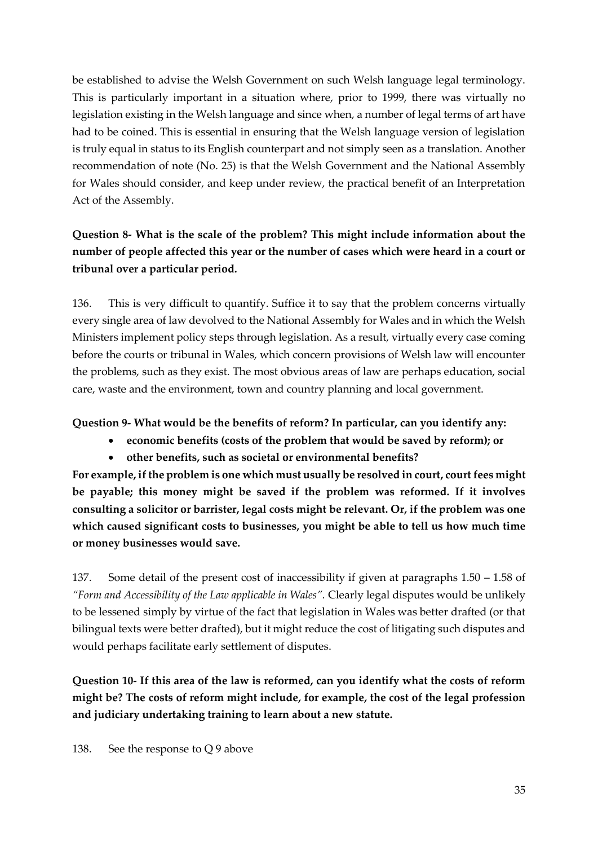be established to advise the Welsh Government on such Welsh language legal terminology. This is particularly important in a situation where, prior to 1999, there was virtually no legislation existing in the Welsh language and since when, a number of legal terms of art have had to be coined. This is essential in ensuring that the Welsh language version of legislation is truly equal in status to its English counterpart and not simply seen as a translation. Another recommendation of note (No. 25) is that the Welsh Government and the National Assembly for Wales should consider, and keep under review, the practical benefit of an Interpretation Act of the Assembly.

### **Question 8- What is the scale of the problem? This might include information about the number of people affected this year or the number of cases which were heard in a court or tribunal over a particular period.**

136. This is very difficult to quantify. Suffice it to say that the problem concerns virtually every single area of law devolved to the National Assembly for Wales and in which the Welsh Ministers implement policy steps through legislation. As a result, virtually every case coming before the courts or tribunal in Wales, which concern provisions of Welsh law will encounter the problems, such as they exist. The most obvious areas of law are perhaps education, social care, waste and the environment, town and country planning and local government.

#### **Question 9- What would be the benefits of reform? In particular, can you identify any:**

- **economic benefits (costs of the problem that would be saved by reform); or**
- **other benefits, such as societal or environmental benefits?**

**For example, if the problem is one which must usually be resolved in court, court fees might be payable; this money might be saved if the problem was reformed. If it involves consulting a solicitor or barrister, legal costs might be relevant. Or, if the problem was one which caused significant costs to businesses, you might be able to tell us how much time or money businesses would save.**

137. Some detail of the present cost of inaccessibility if given at paragraphs 1.50 – 1.58 of *"Form and Accessibility of the Law applicable in Wales".* Clearly legal disputes would be unlikely to be lessened simply by virtue of the fact that legislation in Wales was better drafted (or that bilingual texts were better drafted), but it might reduce the cost of litigating such disputes and would perhaps facilitate early settlement of disputes.

**Question 10- If this area of the law is reformed, can you identify what the costs of reform might be? The costs of reform might include, for example, the cost of the legal profession and judiciary undertaking training to learn about a new statute.**

138. See the response to Q 9 above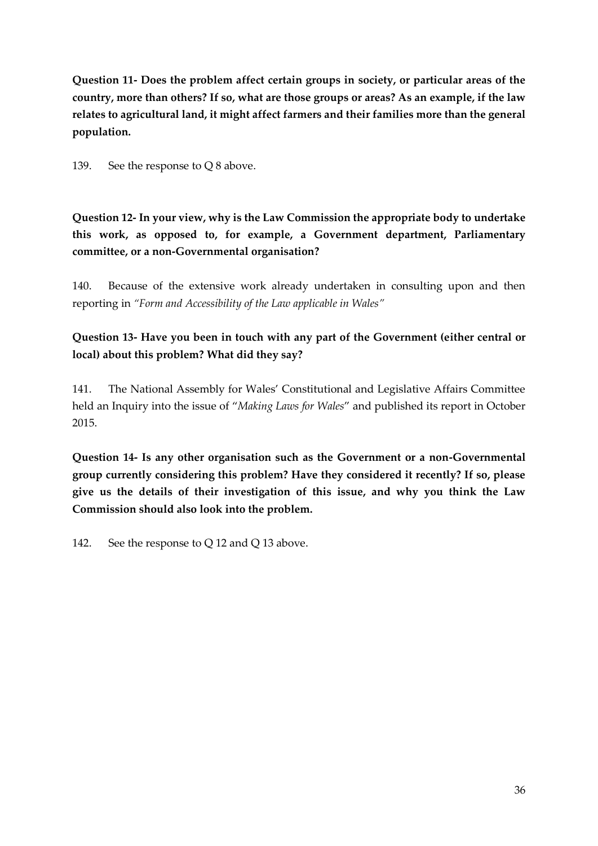**Question 11- Does the problem affect certain groups in society, or particular areas of the country, more than others? If so, what are those groups or areas? As an example, if the law relates to agricultural land, it might affect farmers and their families more than the general population.**

139. See the response to Q 8 above.

**Question 12- In your view, why is the Law Commission the appropriate body to undertake this work, as opposed to, for example, a Government department, Parliamentary committee, or a non-Governmental organisation?**

140. Because of the extensive work already undertaken in consulting upon and then reporting in *"Form and Accessibility of the Law applicable in Wales"*

#### **Question 13- Have you been in touch with any part of the Government (either central or local) about this problem? What did they say?**

141. The National Assembly for Wales' Constitutional and Legislative Affairs Committee held an Inquiry into the issue of "*Making Laws for Wales*" and published its report in October 2015.

**Question 14- Is any other organisation such as the Government or a non-Governmental group currently considering this problem? Have they considered it recently? If so, please give us the details of their investigation of this issue, and why you think the Law Commission should also look into the problem.**

142. See the response to Q 12 and Q 13 above.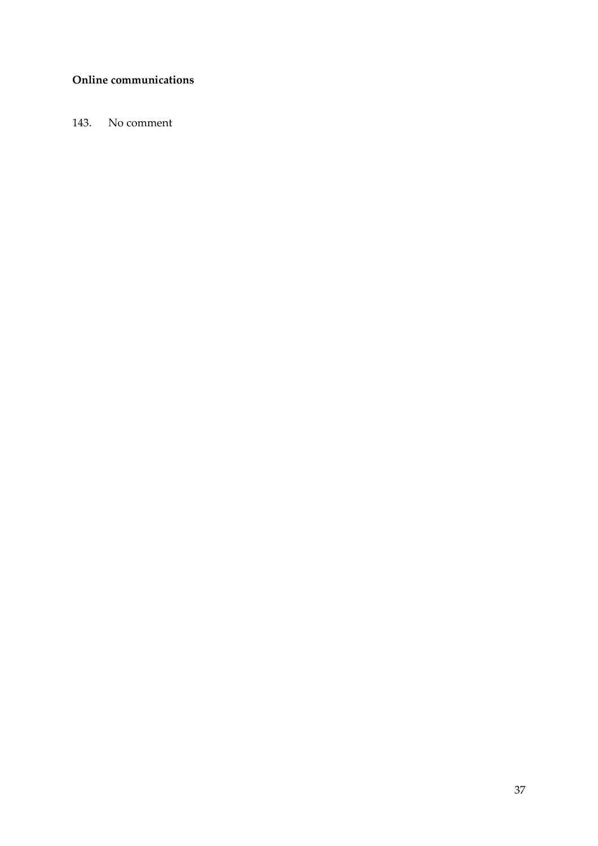#### <span id="page-36-0"></span>**Online communications**

143. No comment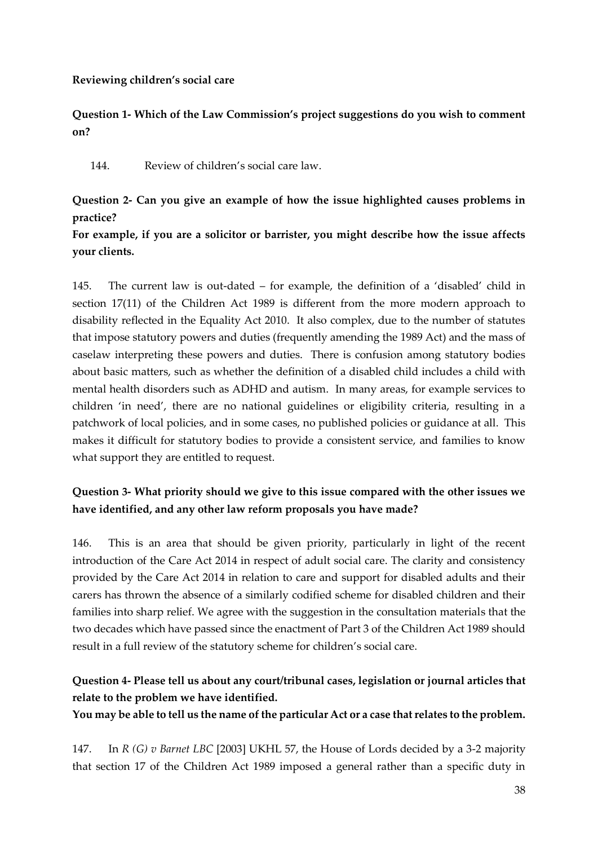#### <span id="page-37-0"></span>**Reviewing children's social care**

**Question 1- Which of the Law Commission's project suggestions do you wish to comment on?** 

144. Review of children's social care law.

#### **Question 2- Can you give an example of how the issue highlighted causes problems in practice?**

#### **For example, if you are a solicitor or barrister, you might describe how the issue affects your clients.**

145. The current law is out-dated – for example, the definition of a 'disabled' child in section 17(11) of the Children Act 1989 is different from the more modern approach to disability reflected in the Equality Act 2010. It also complex, due to the number of statutes that impose statutory powers and duties (frequently amending the 1989 Act) and the mass of caselaw interpreting these powers and duties. There is confusion among statutory bodies about basic matters, such as whether the definition of a disabled child includes a child with mental health disorders such as ADHD and autism. In many areas, for example services to children 'in need', there are no national guidelines or eligibility criteria, resulting in a patchwork of local policies, and in some cases, no published policies or guidance at all. This makes it difficult for statutory bodies to provide a consistent service, and families to know what support they are entitled to request.

### **Question 3- What priority should we give to this issue compared with the other issues we have identified, and any other law reform proposals you have made?**

146. This is an area that should be given priority, particularly in light of the recent introduction of the Care Act 2014 in respect of adult social care. The clarity and consistency provided by the Care Act 2014 in relation to care and support for disabled adults and their carers has thrown the absence of a similarly codified scheme for disabled children and their families into sharp relief. We agree with the suggestion in the consultation materials that the two decades which have passed since the enactment of Part 3 of the Children Act 1989 should result in a full review of the statutory scheme for children's social care.

### **Question 4- Please tell us about any court/tribunal cases, legislation or journal articles that relate to the problem we have identified.**

**You may be able to tell us the name of the particular Act or a case that relates to the problem.**

147. In *R (G) v Barnet LBC* [2003] UKHL 57, the House of Lords decided by a 3-2 majority that section 17 of the Children Act 1989 imposed a general rather than a specific duty in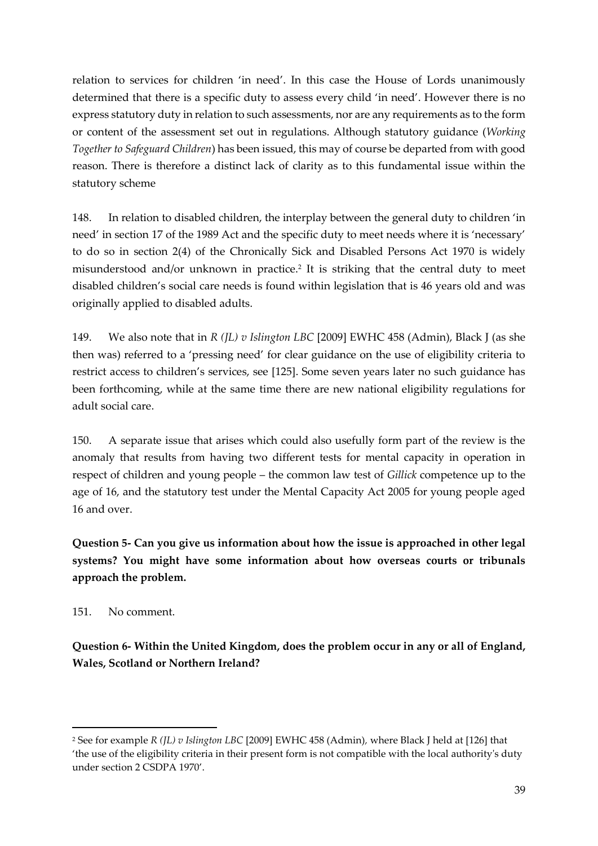relation to services for children 'in need'. In this case the House of Lords unanimously determined that there is a specific duty to assess every child 'in need'. However there is no express statutory duty in relation to such assessments, nor are any requirements as to the form or content of the assessment set out in regulations. Although statutory guidance (*Working Together to Safeguard Children*) has been issued, this may of course be departed from with good reason. There is therefore a distinct lack of clarity as to this fundamental issue within the statutory scheme

148. In relation to disabled children, the interplay between the general duty to children 'in need' in section 17 of the 1989 Act and the specific duty to meet needs where it is 'necessary' to do so in section 2(4) of the Chronically Sick and Disabled Persons Act 1970 is widely misunderstood and/or unknown in practice.<sup>2</sup> It is striking that the central duty to meet disabled children's social care needs is found within legislation that is 46 years old and was originally applied to disabled adults.

149. We also note that in *R (JL) v Islington LBC* [2009] EWHC 458 (Admin), Black J (as she then was) referred to a 'pressing need' for clear guidance on the use of eligibility criteria to restrict access to children's services, see [125]. Some seven years later no such guidance has been forthcoming, while at the same time there are new national eligibility regulations for adult social care.

150. A separate issue that arises which could also usefully form part of the review is the anomaly that results from having two different tests for mental capacity in operation in respect of children and young people – the common law test of *Gillick* competence up to the age of 16, and the statutory test under the Mental Capacity Act 2005 for young people aged 16 and over.

**Question 5- Can you give us information about how the issue is approached in other legal systems? You might have some information about how overseas courts or tribunals approach the problem.**

151. No comment.

 $\overline{a}$ 

**Question 6- Within the United Kingdom, does the problem occur in any or all of England, Wales, Scotland or Northern Ireland?**

<sup>2</sup> See for example *R (JL) v Islington LBC* [2009] EWHC 458 (Admin)*,* where Black J held at [126] that 'the use of the eligibility criteria in their present form is not compatible with the local authority's duty under section 2 CSDPA 1970'.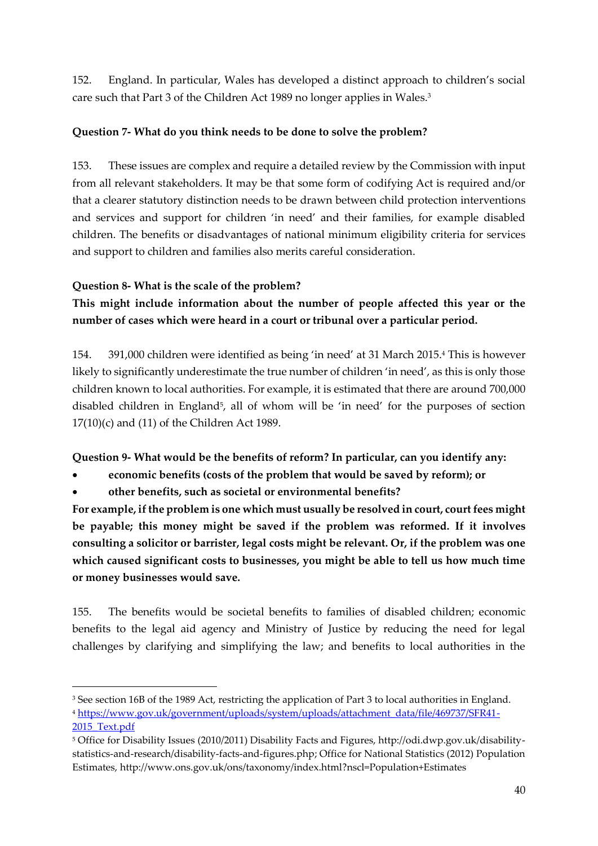152. England. In particular, Wales has developed a distinct approach to children's social care such that Part 3 of the Children Act 1989 no longer applies in Wales.<sup>3</sup>

#### **Question 7- What do you think needs to be done to solve the problem?**

153. These issues are complex and require a detailed review by the Commission with input from all relevant stakeholders. It may be that some form of codifying Act is required and/or that a clearer statutory distinction needs to be drawn between child protection interventions and services and support for children 'in need' and their families, for example disabled children. The benefits or disadvantages of national minimum eligibility criteria for services and support to children and families also merits careful consideration.

#### **Question 8- What is the scale of the problem?**

1

**This might include information about the number of people affected this year or the number of cases which were heard in a court or tribunal over a particular period.**

154. 391,000 children were identified as being 'in need' at 31 March 2015.<sup>4</sup> This is however likely to significantly underestimate the true number of children 'in need', as this is only those children known to local authorities. For example, it is estimated that there are around 700,000 disabled children in England<sup>5</sup>, all of whom will be 'in need' for the purposes of section 17(10)(c) and (11) of the Children Act 1989.

**Question 9- What would be the benefits of reform? In particular, can you identify any:** 

**economic benefits (costs of the problem that would be saved by reform); or**

**other benefits, such as societal or environmental benefits?**

**For example, if the problem is one which must usually be resolved in court, court fees might be payable; this money might be saved if the problem was reformed. If it involves consulting a solicitor or barrister, legal costs might be relevant. Or, if the problem was one which caused significant costs to businesses, you might be able to tell us how much time or money businesses would save.**

155. The benefits would be societal benefits to families of disabled children; economic benefits to the legal aid agency and Ministry of Justice by reducing the need for legal challenges by clarifying and simplifying the law; and benefits to local authorities in the

<sup>3</sup> See section 16B of the 1989 Act, restricting the application of Part 3 to local authorities in England. <sup>4</sup> [https://www.gov.uk/government/uploads/system/uploads/attachment\\_data/file/469737/SFR41-](https://www.gov.uk/government/uploads/system/uploads/attachment_data/file/469737/SFR41-2015_Text.pdf) [2015\\_Text.pdf](https://www.gov.uk/government/uploads/system/uploads/attachment_data/file/469737/SFR41-2015_Text.pdf)

<sup>5</sup> Office for Disability Issues (2010/2011) Disability Facts and Figures, http://odi.dwp.gov.uk/disabilitystatistics-and-research/disability-facts-and-figures.php; Office for National Statistics (2012) Population Estimates, http://www.ons.gov.uk/ons/taxonomy/index.html?nscl=Population+Estimates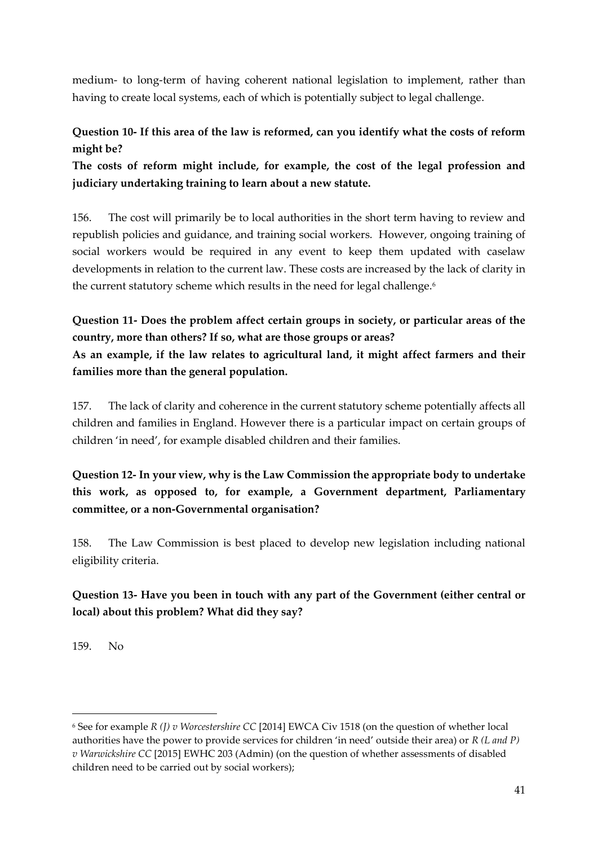medium- to long-term of having coherent national legislation to implement, rather than having to create local systems, each of which is potentially subject to legal challenge.

### **Question 10- If this area of the law is reformed, can you identify what the costs of reform might be?**

**The costs of reform might include, for example, the cost of the legal profession and judiciary undertaking training to learn about a new statute.**

156. The cost will primarily be to local authorities in the short term having to review and republish policies and guidance, and training social workers. However, ongoing training of social workers would be required in any event to keep them updated with caselaw developments in relation to the current law. These costs are increased by the lack of clarity in the current statutory scheme which results in the need for legal challenge.<sup>6</sup>

### **Question 11- Does the problem affect certain groups in society, or particular areas of the country, more than others? If so, what are those groups or areas? As an example, if the law relates to agricultural land, it might affect farmers and their families more than the general population.**

157. The lack of clarity and coherence in the current statutory scheme potentially affects all children and families in England. However there is a particular impact on certain groups of children 'in need', for example disabled children and their families.

**Question 12- In your view, why is the Law Commission the appropriate body to undertake this work, as opposed to, for example, a Government department, Parliamentary committee, or a non-Governmental organisation?**

158. The Law Commission is best placed to develop new legislation including national eligibility criteria.

### **Question 13- Have you been in touch with any part of the Government (either central or local) about this problem? What did they say?**

159. No

1

<sup>6</sup> See for example *R (J) v Worcestershire CC* [2014] EWCA Civ 1518 (on the question of whether local authorities have the power to provide services for children 'in need' outside their area) or *R (L and P) v Warwickshire CC* [2015] EWHC 203 (Admin) (on the question of whether assessments of disabled children need to be carried out by social workers);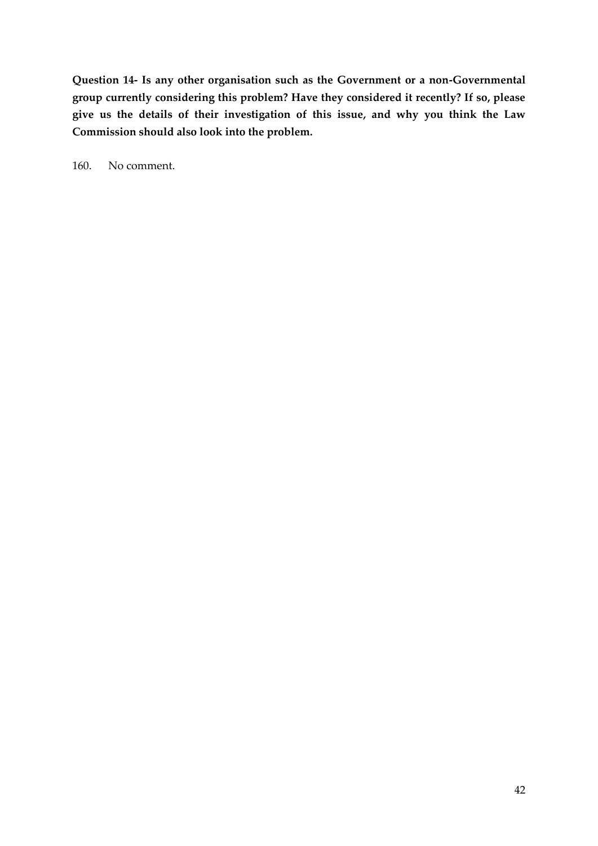**Question 14- Is any other organisation such as the Government or a non-Governmental group currently considering this problem? Have they considered it recently? If so, please give us the details of their investigation of this issue, and why you think the Law Commission should also look into the problem.**

160. No comment.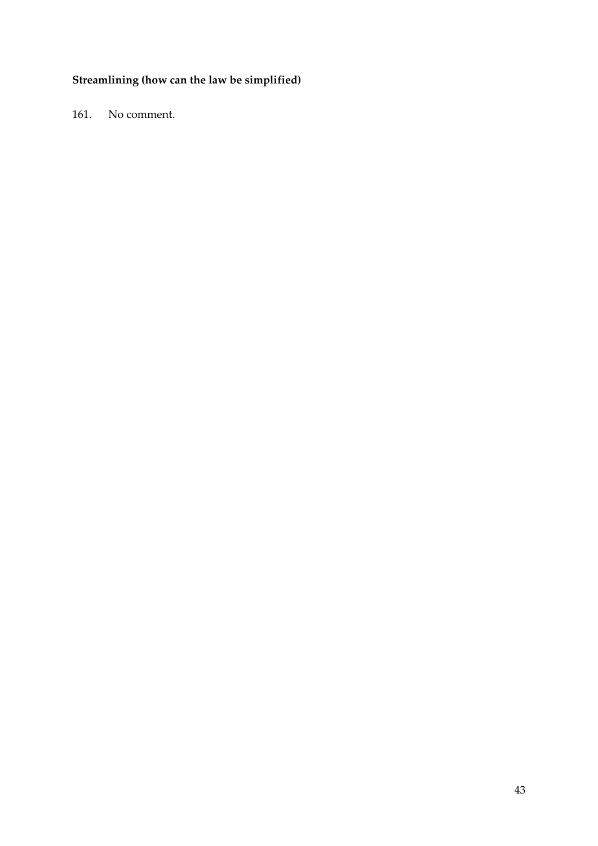## **Streamlining (how can the law be simplified)**

161. No comment.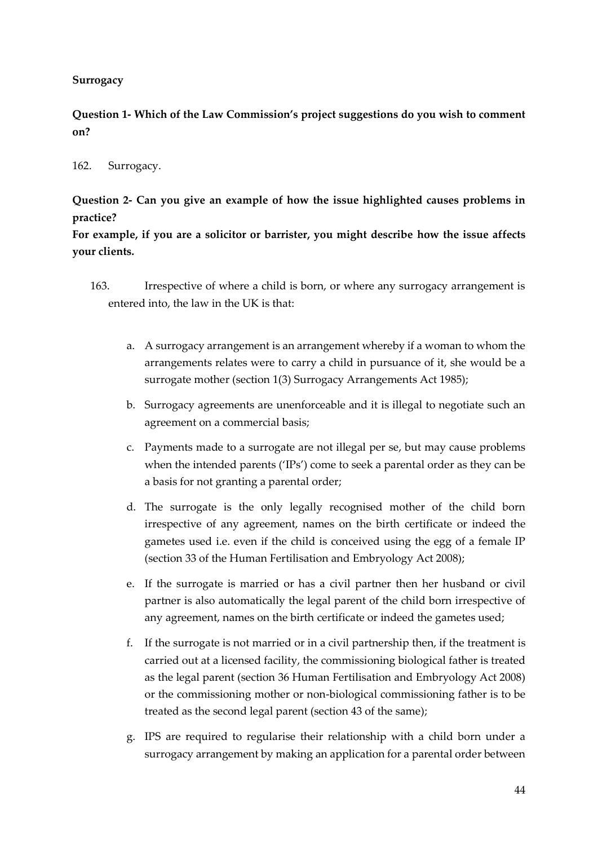#### <span id="page-43-0"></span>**Surrogacy**

**Question 1- Which of the Law Commission's project suggestions do you wish to comment on?** 

#### 162. Surrogacy.

**Question 2- Can you give an example of how the issue highlighted causes problems in practice?**

**For example, if you are a solicitor or barrister, you might describe how the issue affects your clients.**

- 163. Irrespective of where a child is born, or where any surrogacy arrangement is entered into, the law in the UK is that:
	- a. A surrogacy arrangement is an arrangement whereby if a woman to whom the arrangements relates were to carry a child in pursuance of it, she would be a surrogate mother (section 1(3) Surrogacy Arrangements Act 1985);
	- b. Surrogacy agreements are unenforceable and it is illegal to negotiate such an agreement on a commercial basis;
	- c. Payments made to a surrogate are not illegal per se, but may cause problems when the intended parents ('IPs') come to seek a parental order as they can be a basis for not granting a parental order;
	- d. The surrogate is the only legally recognised mother of the child born irrespective of any agreement, names on the birth certificate or indeed the gametes used i.e. even if the child is conceived using the egg of a female IP (section 33 of the Human Fertilisation and Embryology Act 2008);
	- e. If the surrogate is married or has a civil partner then her husband or civil partner is also automatically the legal parent of the child born irrespective of any agreement, names on the birth certificate or indeed the gametes used;
	- f. If the surrogate is not married or in a civil partnership then, if the treatment is carried out at a licensed facility, the commissioning biological father is treated as the legal parent (section 36 Human Fertilisation and Embryology Act 2008) or the commissioning mother or non-biological commissioning father is to be treated as the second legal parent (section 43 of the same);
	- g. IPS are required to regularise their relationship with a child born under a surrogacy arrangement by making an application for a parental order between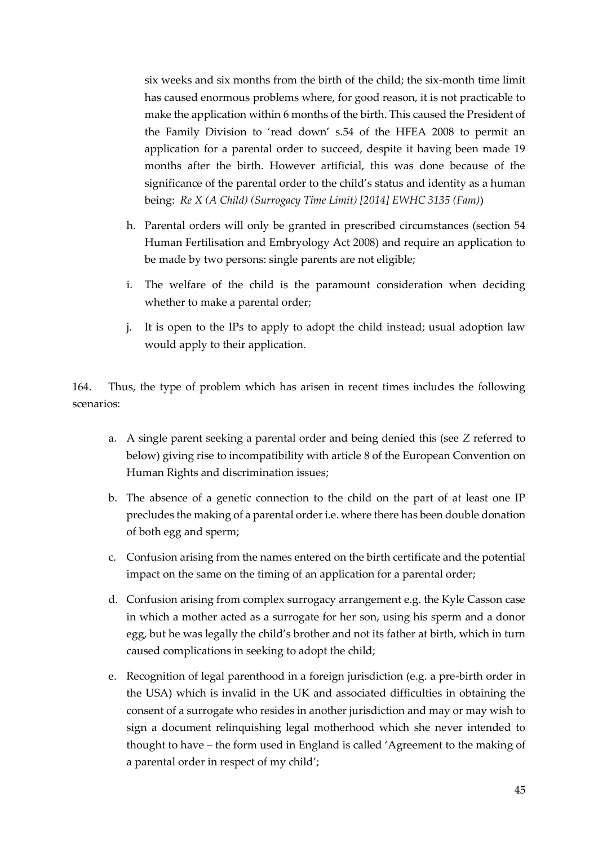six weeks and six months from the birth of the child; the six-month time limit has caused enormous problems where, for good reason, it is not practicable to make the application within 6 months of the birth. This caused the President of the Family Division to 'read down' s.54 of the HFEA 2008 to permit an application for a parental order to succeed, despite it having been made 19 months after the birth. However artificial, this was done because of the significance of the parental order to the child's status and identity as a human being: *Re X (A Child) (Surrogacy Time Limit) [2014] EWHC 3135 (Fam)*)

- h. Parental orders will only be granted in prescribed circumstances (section 54 Human Fertilisation and Embryology Act 2008) and require an application to be made by two persons: single parents are not eligible;
- i. The welfare of the child is the paramount consideration when deciding whether to make a parental order;
- j. It is open to the IPs to apply to adopt the child instead; usual adoption law would apply to their application.

164. Thus, the type of problem which has arisen in recent times includes the following scenarios:

- a. A single parent seeking a parental order and being denied this (see *Z* referred to below) giving rise to incompatibility with article 8 of the European Convention on Human Rights and discrimination issues;
- b. The absence of a genetic connection to the child on the part of at least one IP precludes the making of a parental order i.e. where there has been double donation of both egg and sperm;
- c. Confusion arising from the names entered on the birth certificate and the potential impact on the same on the timing of an application for a parental order;
- d. Confusion arising from complex surrogacy arrangement e.g. the Kyle Casson case in which a mother acted as a surrogate for her son, using his sperm and a donor egg, but he was legally the child's brother and not its father at birth, which in turn caused complications in seeking to adopt the child;
- e. Recognition of legal parenthood in a foreign jurisdiction (e.g. a pre-birth order in the USA) which is invalid in the UK and associated difficulties in obtaining the consent of a surrogate who resides in another jurisdiction and may or may wish to sign a document relinquishing legal motherhood which she never intended to thought to have – the form used in England is called 'Agreement to the making of a parental order in respect of my child';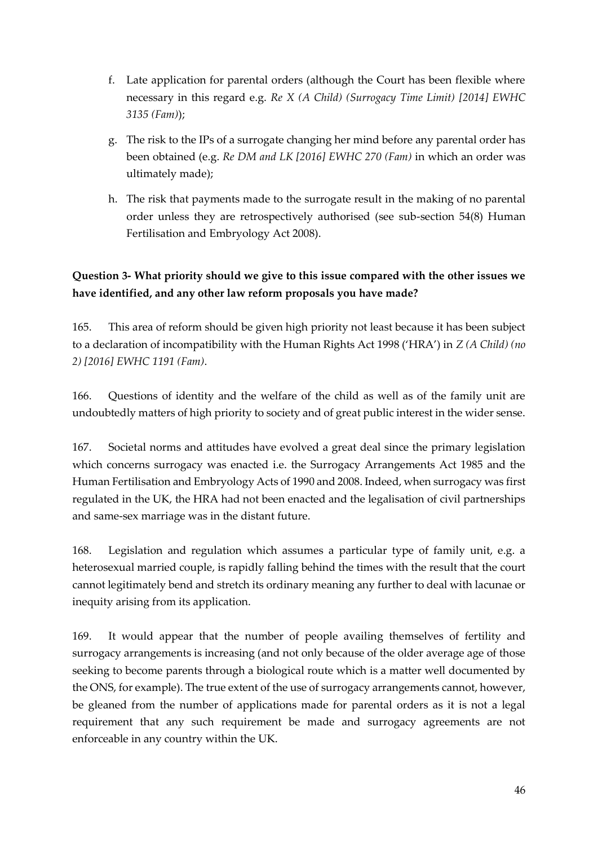- f. Late application for parental orders (although the Court has been flexible where necessary in this regard e.g. *Re X (A Child) (Surrogacy Time Limit) [2014] EWHC 3135 (Fam)*);
- g. The risk to the IPs of a surrogate changing her mind before any parental order has been obtained (e.g. *Re DM and LK [2016] EWHC 270 (Fam)* in which an order was ultimately made);
- h. The risk that payments made to the surrogate result in the making of no parental order unless they are retrospectively authorised (see sub-section 54(8) Human Fertilisation and Embryology Act 2008).

### **Question 3- What priority should we give to this issue compared with the other issues we have identified, and any other law reform proposals you have made?**

165. This area of reform should be given high priority not least because it has been subject to a declaration of incompatibility with the Human Rights Act 1998 ('HRA') in *Z (A Child) (no 2) [2016] EWHC 1191 (Fam)*.

166. Questions of identity and the welfare of the child as well as of the family unit are undoubtedly matters of high priority to society and of great public interest in the wider sense.

167. Societal norms and attitudes have evolved a great deal since the primary legislation which concerns surrogacy was enacted i.e. the Surrogacy Arrangements Act 1985 and the Human Fertilisation and Embryology Acts of 1990 and 2008. Indeed, when surrogacy was first regulated in the UK, the HRA had not been enacted and the legalisation of civil partnerships and same-sex marriage was in the distant future.

168. Legislation and regulation which assumes a particular type of family unit, e.g. a heterosexual married couple, is rapidly falling behind the times with the result that the court cannot legitimately bend and stretch its ordinary meaning any further to deal with lacunae or inequity arising from its application.

169. It would appear that the number of people availing themselves of fertility and surrogacy arrangements is increasing (and not only because of the older average age of those seeking to become parents through a biological route which is a matter well documented by the ONS, for example). The true extent of the use of surrogacy arrangements cannot, however, be gleaned from the number of applications made for parental orders as it is not a legal requirement that any such requirement be made and surrogacy agreements are not enforceable in any country within the UK.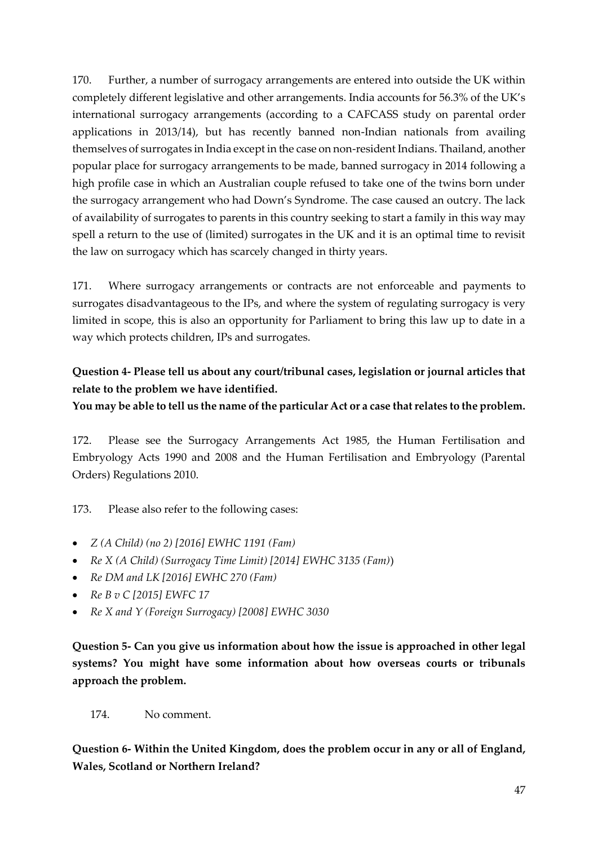170. Further, a number of surrogacy arrangements are entered into outside the UK within completely different legislative and other arrangements. India accounts for 56.3% of the UK's international surrogacy arrangements (according to a CAFCASS study on parental order applications in 2013/14), but has recently banned non-Indian nationals from availing themselves of surrogates in India except in the case on non-resident Indians. Thailand, another popular place for surrogacy arrangements to be made, banned surrogacy in 2014 following a high profile case in which an Australian couple refused to take one of the twins born under the surrogacy arrangement who had Down's Syndrome. The case caused an outcry. The lack of availability of surrogates to parents in this country seeking to start a family in this way may spell a return to the use of (limited) surrogates in the UK and it is an optimal time to revisit the law on surrogacy which has scarcely changed in thirty years.

171. Where surrogacy arrangements or contracts are not enforceable and payments to surrogates disadvantageous to the IPs, and where the system of regulating surrogacy is very limited in scope, this is also an opportunity for Parliament to bring this law up to date in a way which protects children, IPs and surrogates.

#### **Question 4- Please tell us about any court/tribunal cases, legislation or journal articles that relate to the problem we have identified.**

**You may be able to tell us the name of the particular Act or a case that relates to the problem.**

172. Please see the Surrogacy Arrangements Act 1985, the Human Fertilisation and Embryology Acts 1990 and 2008 and the Human Fertilisation and Embryology (Parental Orders) Regulations 2010.

173. Please also refer to the following cases:

- *Z (A Child) (no 2) [2016] EWHC 1191 (Fam)*
- *Re X (A Child) (Surrogacy Time Limit) [2014] EWHC 3135 (Fam)*)
- *Re DM and LK [2016] EWHC 270 (Fam)*
- *Re B v C [2015] EWFC 17*
- *Re X and Y (Foreign Surrogacy) [2008] EWHC 3030*

**Question 5- Can you give us information about how the issue is approached in other legal systems? You might have some information about how overseas courts or tribunals approach the problem.**

174. No comment.

**Question 6- Within the United Kingdom, does the problem occur in any or all of England, Wales, Scotland or Northern Ireland?**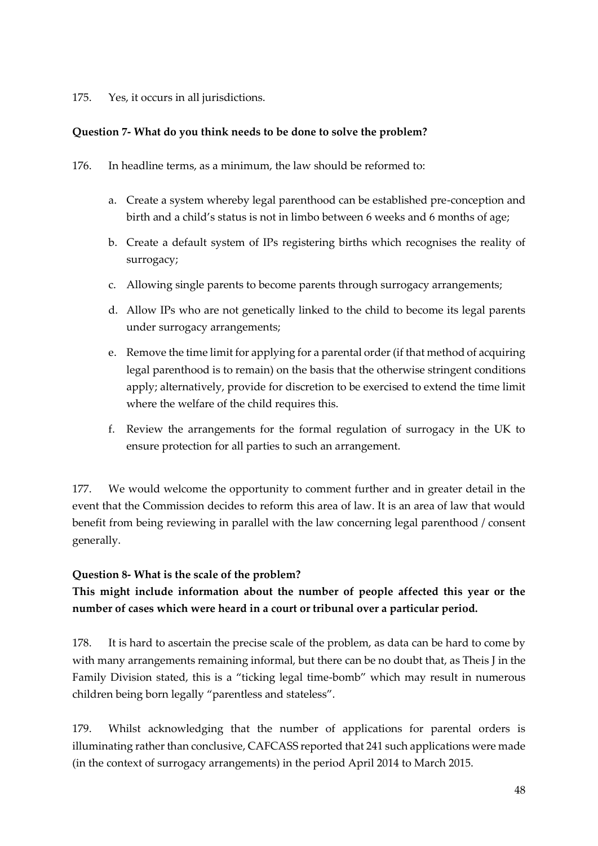175. Yes, it occurs in all jurisdictions.

#### **Question 7- What do you think needs to be done to solve the problem?**

- 176. In headline terms, as a minimum, the law should be reformed to:
	- a. Create a system whereby legal parenthood can be established pre-conception and birth and a child's status is not in limbo between 6 weeks and 6 months of age;
	- b. Create a default system of IPs registering births which recognises the reality of surrogacy;
	- c. Allowing single parents to become parents through surrogacy arrangements;
	- d. Allow IPs who are not genetically linked to the child to become its legal parents under surrogacy arrangements;
	- e. Remove the time limit for applying for a parental order (if that method of acquiring legal parenthood is to remain) on the basis that the otherwise stringent conditions apply; alternatively, provide for discretion to be exercised to extend the time limit where the welfare of the child requires this.
	- f. Review the arrangements for the formal regulation of surrogacy in the UK to ensure protection for all parties to such an arrangement.

177. We would welcome the opportunity to comment further and in greater detail in the event that the Commission decides to reform this area of law. It is an area of law that would benefit from being reviewing in parallel with the law concerning legal parenthood / consent generally.

#### **Question 8- What is the scale of the problem?**

### **This might include information about the number of people affected this year or the number of cases which were heard in a court or tribunal over a particular period.**

178. It is hard to ascertain the precise scale of the problem, as data can be hard to come by with many arrangements remaining informal, but there can be no doubt that, as Theis J in the Family Division stated, this is a "ticking legal time-bomb" which may result in numerous children being born legally "parentless and stateless".

179. Whilst acknowledging that the number of applications for parental orders is illuminating rather than conclusive, CAFCASS reported that 241 such applications were made (in the context of surrogacy arrangements) in the period April 2014 to March 2015.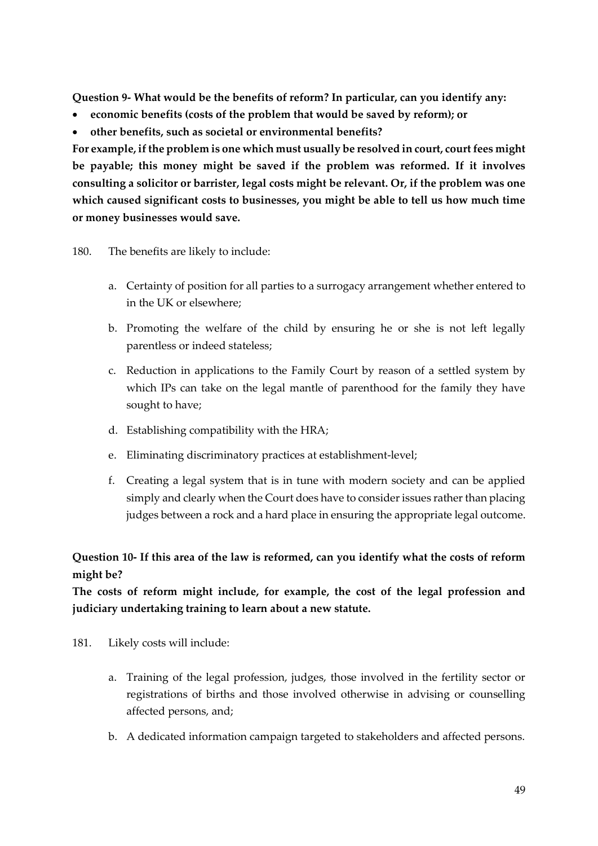**Question 9- What would be the benefits of reform? In particular, can you identify any:** 

- **economic benefits (costs of the problem that would be saved by reform); or**
- **other benefits, such as societal or environmental benefits?**

**For example, if the problem is one which must usually be resolved in court, court fees might be payable; this money might be saved if the problem was reformed. If it involves consulting a solicitor or barrister, legal costs might be relevant. Or, if the problem was one which caused significant costs to businesses, you might be able to tell us how much time or money businesses would save.**

#### 180. The benefits are likely to include:

- a. Certainty of position for all parties to a surrogacy arrangement whether entered to in the UK or elsewhere;
- b. Promoting the welfare of the child by ensuring he or she is not left legally parentless or indeed stateless;
- c. Reduction in applications to the Family Court by reason of a settled system by which IPs can take on the legal mantle of parenthood for the family they have sought to have;
- d. Establishing compatibility with the HRA;
- e. Eliminating discriminatory practices at establishment-level;
- f. Creating a legal system that is in tune with modern society and can be applied simply and clearly when the Court does have to consider issues rather than placing judges between a rock and a hard place in ensuring the appropriate legal outcome.

#### **Question 10- If this area of the law is reformed, can you identify what the costs of reform might be?**

**The costs of reform might include, for example, the cost of the legal profession and judiciary undertaking training to learn about a new statute.**

- 181. Likely costs will include:
	- a. Training of the legal profession, judges, those involved in the fertility sector or registrations of births and those involved otherwise in advising or counselling affected persons, and;
	- b. A dedicated information campaign targeted to stakeholders and affected persons.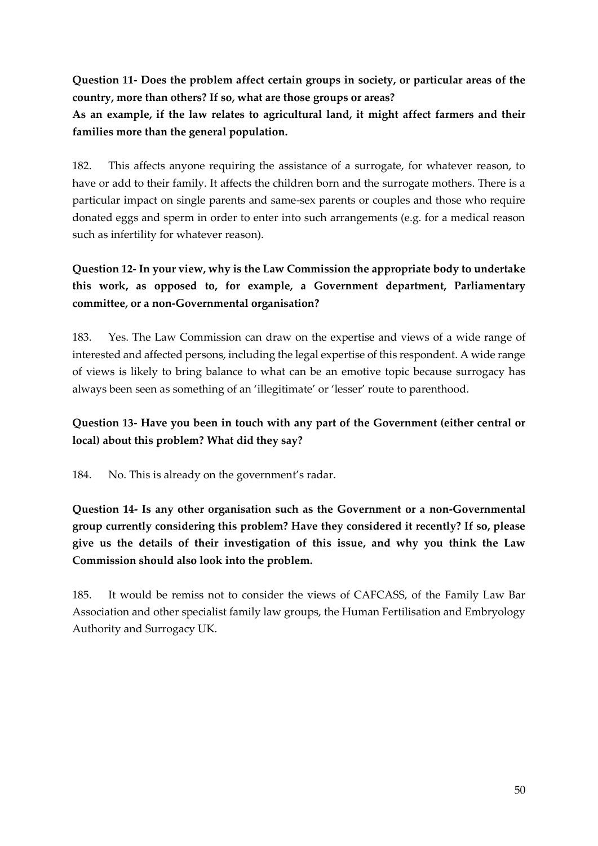**Question 11- Does the problem affect certain groups in society, or particular areas of the country, more than others? If so, what are those groups or areas?**

**As an example, if the law relates to agricultural land, it might affect farmers and their families more than the general population.**

182. This affects anyone requiring the assistance of a surrogate, for whatever reason, to have or add to their family. It affects the children born and the surrogate mothers. There is a particular impact on single parents and same-sex parents or couples and those who require donated eggs and sperm in order to enter into such arrangements (e.g. for a medical reason such as infertility for whatever reason).

### **Question 12- In your view, why is the Law Commission the appropriate body to undertake this work, as opposed to, for example, a Government department, Parliamentary committee, or a non-Governmental organisation?**

183. Yes. The Law Commission can draw on the expertise and views of a wide range of interested and affected persons, including the legal expertise of this respondent. A wide range of views is likely to bring balance to what can be an emotive topic because surrogacy has always been seen as something of an 'illegitimate' or 'lesser' route to parenthood.

### **Question 13- Have you been in touch with any part of the Government (either central or local) about this problem? What did they say?**

184. No. This is already on the government's radar.

**Question 14- Is any other organisation such as the Government or a non-Governmental group currently considering this problem? Have they considered it recently? If so, please give us the details of their investigation of this issue, and why you think the Law Commission should also look into the problem.**

185. It would be remiss not to consider the views of CAFCASS, of the Family Law Bar Association and other specialist family law groups, the Human Fertilisation and Embryology Authority and Surrogacy UK.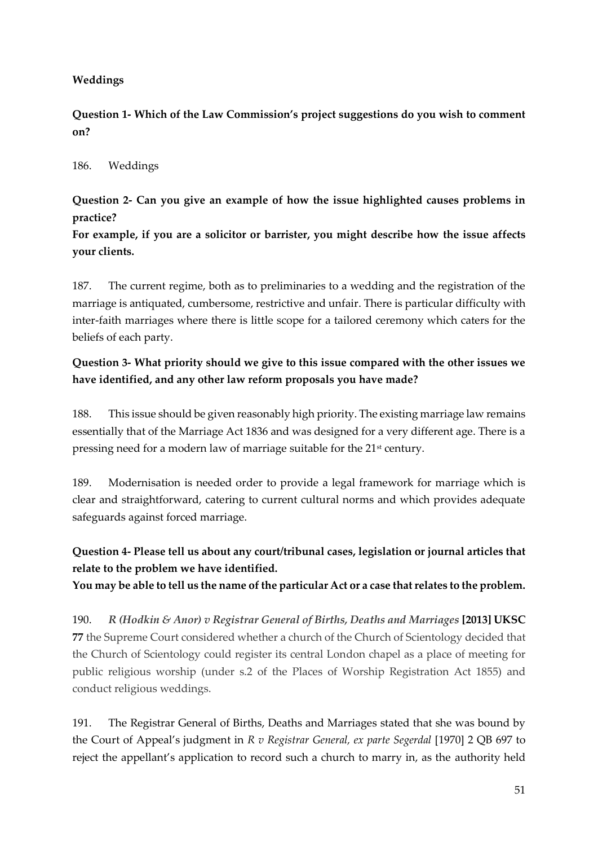#### **Weddings**

**Question 1- Which of the Law Commission's project suggestions do you wish to comment on?** 

#### 186. Weddings

**Question 2- Can you give an example of how the issue highlighted causes problems in practice?**

**For example, if you are a solicitor or barrister, you might describe how the issue affects your clients.**

187. The current regime, both as to preliminaries to a wedding and the registration of the marriage is antiquated, cumbersome, restrictive and unfair. There is particular difficulty with inter-faith marriages where there is little scope for a tailored ceremony which caters for the beliefs of each party.

#### **Question 3- What priority should we give to this issue compared with the other issues we have identified, and any other law reform proposals you have made?**

188. This issue should be given reasonably high priority. The existing marriage law remains essentially that of the Marriage Act 1836 and was designed for a very different age. There is a pressing need for a modern law of marriage suitable for the 21<sup>st</sup> century.

189. Modernisation is needed order to provide a legal framework for marriage which is clear and straightforward, catering to current cultural norms and which provides adequate safeguards against forced marriage.

### **Question 4- Please tell us about any court/tribunal cases, legislation or journal articles that relate to the problem we have identified.**

**You may be able to tell us the name of the particular Act or a case that relates to the problem.**

190. *R (Hodkin & Anor) v Registrar General of Births, Deaths and Marriages* **[\[2013\] UKSC](http://www.supremecourt.gov.uk/decided-cases/docs/UKSC_2013_0030_Judgment.pdf)  [77](http://www.supremecourt.gov.uk/decided-cases/docs/UKSC_2013_0030_Judgment.pdf)** the Supreme Court considered whether a church of the Church of Scientology decided that the Church of Scientology could register its central London chapel as a place of meeting for public religious worship (under s.2 of the Places of Worship Registration Act 1855) and conduct religious weddings.

191. The Registrar General of Births, Deaths and Marriages stated that she was bound by the Court of Appeal's judgment in *R v Registrar General, ex parte Segerdal* [1970] 2 QB 697 to reject the appellant's application to record such a church to marry in, as the authority held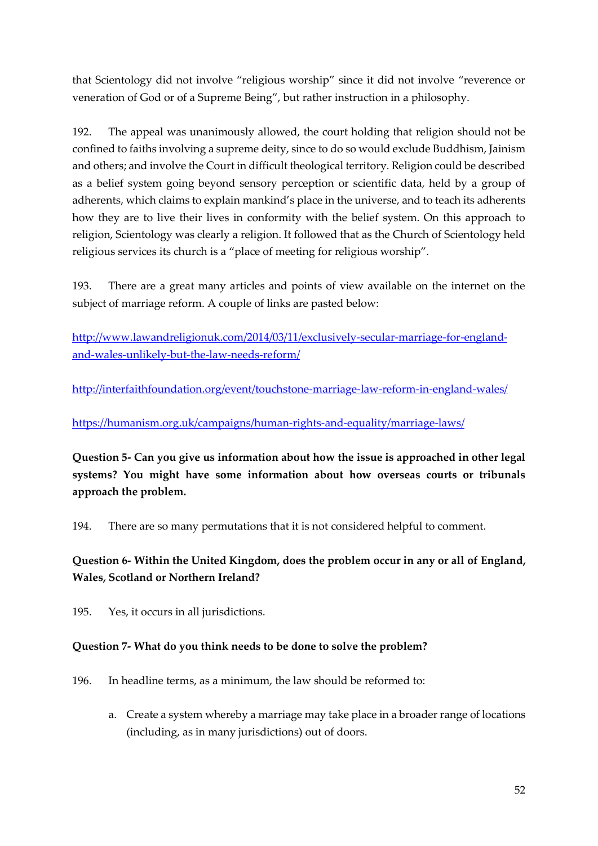that Scientology did not involve "religious worship" since it did not involve "reverence or veneration of God or of a Supreme Being", but rather instruction in a philosophy.

192. The appeal was unanimously allowed, the court holding that religion should not be confined to faiths involving a supreme deity, since to do so would exclude Buddhism, Jainism and others; and involve the Court in difficult theological territory. Religion could be described as a belief system going beyond sensory perception or scientific data, held by a group of adherents, which claims to explain mankind's place in the universe, and to teach its adherents how they are to live their lives in conformity with the belief system. On this approach to religion, Scientology was clearly a religion. It followed that as the Church of Scientology held religious services its church is a "place of meeting for religious worship".

193. There are a great many articles and points of view available on the internet on the subject of marriage reform. A couple of links are pasted below:

[http://www.lawandreligionuk.com/2014/03/11/exclusively-secular-marriage-for-england](http://www.lawandreligionuk.com/2014/03/11/exclusively-secular-marriage-for-england-and-wales-unlikely-but-the-law-needs-reform/)[and-wales-unlikely-but-the-law-needs-reform/](http://www.lawandreligionuk.com/2014/03/11/exclusively-secular-marriage-for-england-and-wales-unlikely-but-the-law-needs-reform/)

<http://interfaithfoundation.org/event/touchstone-marriage-law-reform-in-england-wales/>

<https://humanism.org.uk/campaigns/human-rights-and-equality/marriage-laws/>

**Question 5- Can you give us information about how the issue is approached in other legal systems? You might have some information about how overseas courts or tribunals approach the problem.**

194. There are so many permutations that it is not considered helpful to comment.

### **Question 6- Within the United Kingdom, does the problem occur in any or all of England, Wales, Scotland or Northern Ireland?**

195. Yes, it occurs in all jurisdictions.

#### **Question 7- What do you think needs to be done to solve the problem?**

- 196. In headline terms, as a minimum, the law should be reformed to:
	- a. Create a system whereby a marriage may take place in a broader range of locations (including, as in many jurisdictions) out of doors.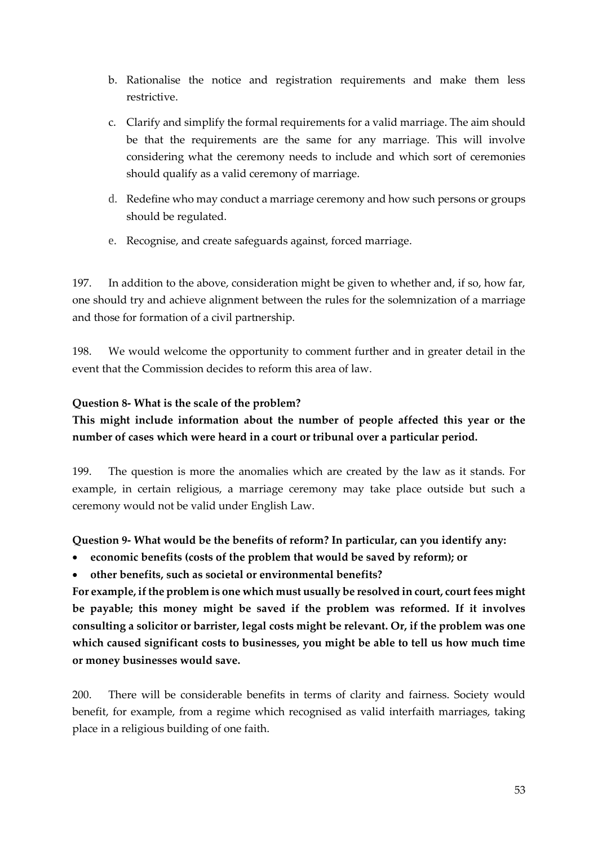- b. Rationalise the notice and registration requirements and make them less restrictive.
- c. Clarify and simplify the formal requirements for a valid marriage. The aim should be that the requirements are the same for any marriage. This will involve considering what the ceremony needs to include and which sort of ceremonies should qualify as a valid ceremony of marriage.
- d. Redefine who may conduct a marriage ceremony and how such persons or groups should be regulated.
- e. Recognise, and create safeguards against, forced marriage.

197. In addition to the above, consideration might be given to whether and, if so, how far, one should try and achieve alignment between the rules for the solemnization of a marriage and those for formation of a civil partnership.

198. We would welcome the opportunity to comment further and in greater detail in the event that the Commission decides to reform this area of law.

#### **Question 8- What is the scale of the problem?**

### **This might include information about the number of people affected this year or the number of cases which were heard in a court or tribunal over a particular period.**

199. The question is more the anomalies which are created by the law as it stands. For example, in certain religious, a marriage ceremony may take place outside but such a ceremony would not be valid under English Law.

**Question 9- What would be the benefits of reform? In particular, can you identify any:** 

- **economic benefits (costs of the problem that would be saved by reform); or**
- **other benefits, such as societal or environmental benefits?**

**For example, if the problem is one which must usually be resolved in court, court fees might be payable; this money might be saved if the problem was reformed. If it involves consulting a solicitor or barrister, legal costs might be relevant. Or, if the problem was one which caused significant costs to businesses, you might be able to tell us how much time or money businesses would save.**

200. There will be considerable benefits in terms of clarity and fairness. Society would benefit, for example, from a regime which recognised as valid interfaith marriages, taking place in a religious building of one faith.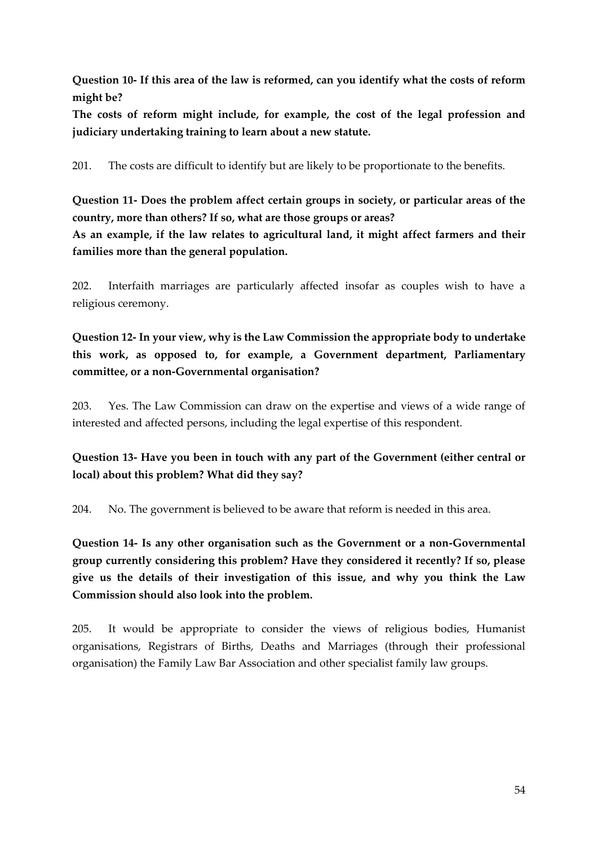**Question 10- If this area of the law is reformed, can you identify what the costs of reform might be?**

**The costs of reform might include, for example, the cost of the legal profession and judiciary undertaking training to learn about a new statute.**

201. The costs are difficult to identify but are likely to be proportionate to the benefits.

**Question 11- Does the problem affect certain groups in society, or particular areas of the country, more than others? If so, what are those groups or areas? As an example, if the law relates to agricultural land, it might affect farmers and their families more than the general population.**

202. Interfaith marriages are particularly affected insofar as couples wish to have a religious ceremony.

**Question 12- In your view, why is the Law Commission the appropriate body to undertake this work, as opposed to, for example, a Government department, Parliamentary committee, or a non-Governmental organisation?**

203. Yes. The Law Commission can draw on the expertise and views of a wide range of interested and affected persons, including the legal expertise of this respondent.

**Question 13- Have you been in touch with any part of the Government (either central or local) about this problem? What did they say?**

204. No. The government is believed to be aware that reform is needed in this area.

**Question 14- Is any other organisation such as the Government or a non-Governmental group currently considering this problem? Have they considered it recently? If so, please give us the details of their investigation of this issue, and why you think the Law Commission should also look into the problem.**

205. It would be appropriate to consider the views of religious bodies, Humanist organisations, Registrars of Births, Deaths and Marriages (through their professional organisation) the Family Law Bar Association and other specialist family law groups.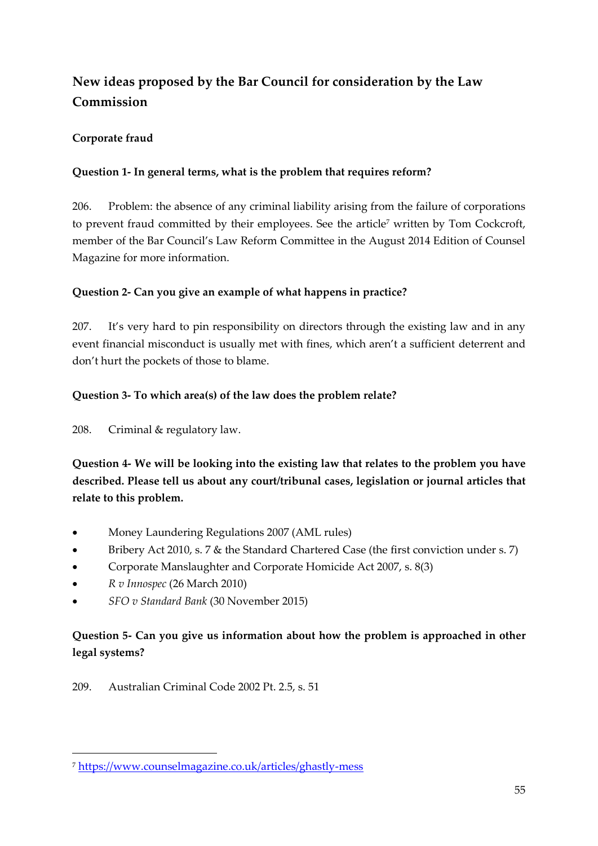# <span id="page-54-0"></span>**New ideas proposed by the Bar Council for consideration by the Law Commission**

#### <span id="page-54-1"></span>**Corporate fraud**

#### **Question 1- In general terms, what is the problem that requires reform?**

206. Problem: the absence of any criminal liability arising from the failure of corporations to prevent fraud committed by their employees. See the article<sup>7</sup> written by Tom Cockcroft, member of the Bar Council's Law Reform Committee in the August 2014 Edition of Counsel Magazine for more information.

#### **Question 2- Can you give an example of what happens in practice?**

207. It's very hard to pin responsibility on directors through the existing law and in any event financial misconduct is usually met with fines, which aren't a sufficient deterrent and don't hurt the pockets of those to blame.

#### **Question 3- To which area(s) of the law does the problem relate?**

208. Criminal & regulatory law.

**Question 4- We will be looking into the existing law that relates to the problem you have described. Please tell us about any court/tribunal cases, legislation or journal articles that relate to this problem.**

- Money Laundering Regulations 2007 (AML rules)
- Bribery Act 2010, s. 7 & the Standard Chartered Case (the first conviction under s. 7)
- Corporate Manslaughter and Corporate Homicide Act 2007, s. 8(3)
- *R v Innospec* (26 March 2010)

**.** 

*SFO v Standard Bank* (30 November 2015)

### **Question 5- Can you give us information about how the problem is approached in other legal systems?**

209. Australian Criminal Code 2002 Pt. 2.5, s. 51

<sup>7</sup> <https://www.counselmagazine.co.uk/articles/ghastly-mess>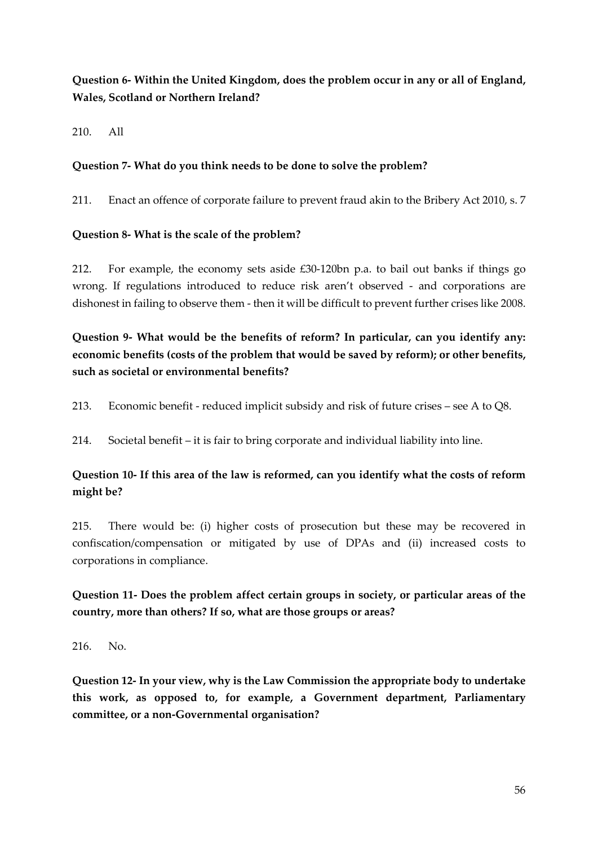#### **Question 6- Within the United Kingdom, does the problem occur in any or all of England, Wales, Scotland or Northern Ireland?**

210. All

#### **Question 7- What do you think needs to be done to solve the problem?**

211. Enact an offence of corporate failure to prevent fraud akin to the Bribery Act 2010, s. 7

#### **Question 8- What is the scale of the problem?**

212. For example, the economy sets aside £30-120bn p.a. to bail out banks if things go wrong. If regulations introduced to reduce risk aren't observed - and corporations are dishonest in failing to observe them - then it will be difficult to prevent further crises like 2008.

**Question 9- What would be the benefits of reform? In particular, can you identify any: economic benefits (costs of the problem that would be saved by reform); or other benefits, such as societal or environmental benefits?**

213. Economic benefit - reduced implicit subsidy and risk of future crises – see A to Q8.

214. Societal benefit – it is fair to bring corporate and individual liability into line.

#### **Question 10- If this area of the law is reformed, can you identify what the costs of reform might be?**

215. There would be: (i) higher costs of prosecution but these may be recovered in confiscation/compensation or mitigated by use of DPAs and (ii) increased costs to corporations in compliance.

#### **Question 11- Does the problem affect certain groups in society, or particular areas of the country, more than others? If so, what are those groups or areas?**

216. No.

**Question 12- In your view, why is the Law Commission the appropriate body to undertake this work, as opposed to, for example, a Government department, Parliamentary committee, or a non-Governmental organisation?**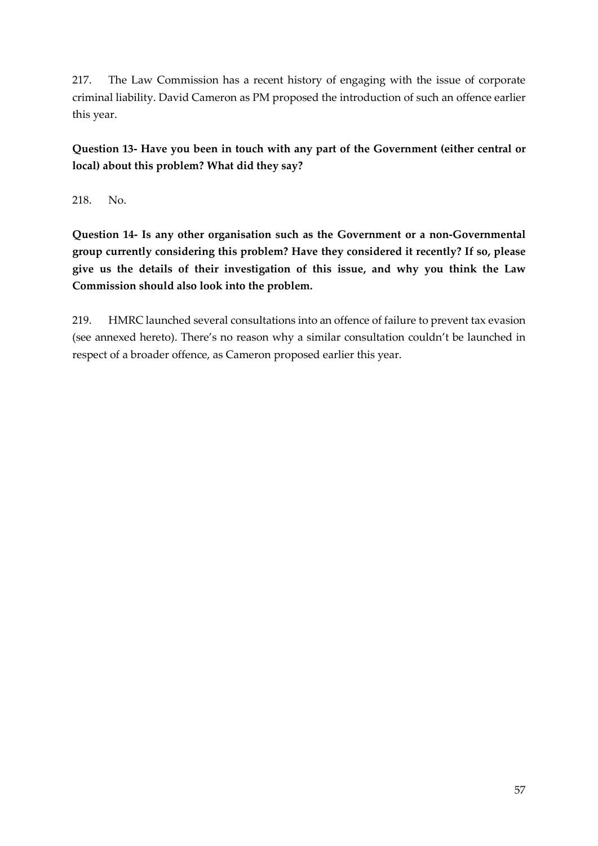217. The Law Commission has a recent history of engaging with the issue of corporate criminal liability. David Cameron as PM proposed the introduction of such an offence earlier this year.

**Question 13- Have you been in touch with any part of the Government (either central or local) about this problem? What did they say?**

218. No.

**Question 14- Is any other organisation such as the Government or a non-Governmental group currently considering this problem? Have they considered it recently? If so, please give us the details of their investigation of this issue, and why you think the Law Commission should also look into the problem.**

219. HMRC launched several consultations into an offence of failure to prevent tax evasion (see annexed hereto). There's no reason why a similar consultation couldn't be launched in respect of a broader offence, as Cameron proposed earlier this year.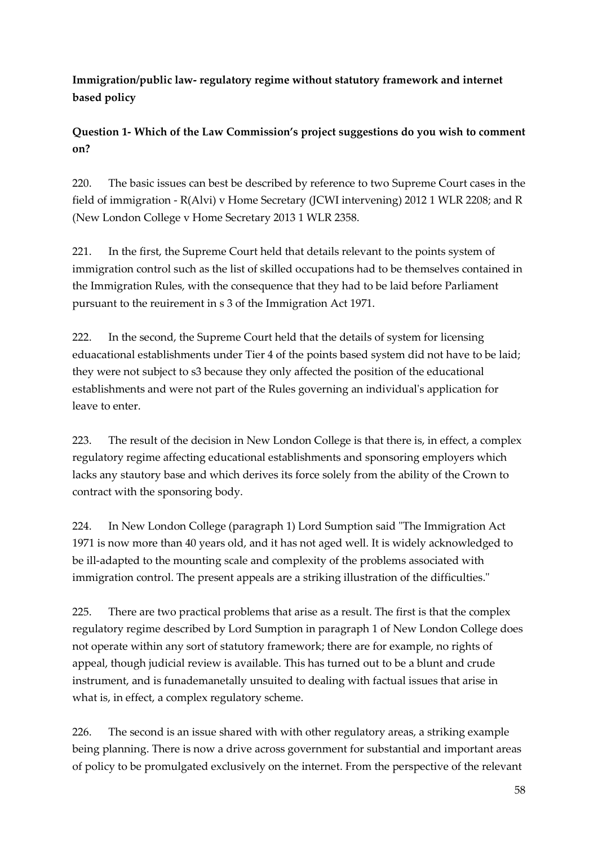<span id="page-57-0"></span>**Immigration/public law- regulatory regime without statutory framework and internet based policy**

**Question 1- Which of the Law Commission's project suggestions do you wish to comment on?** 

220. The basic issues can best be described by reference to two Supreme Court cases in the field of immigration - R(Alvi) v Home Secretary (JCWI intervening) 2012 1 WLR 2208; and R (New London College v Home Secretary 2013 1 WLR 2358.

221. In the first, the Supreme Court held that details relevant to the points system of immigration control such as the list of skilled occupations had to be themselves contained in the Immigration Rules, with the consequence that they had to be laid before Parliament pursuant to the reuirement in s 3 of the Immigration Act 1971.

222. In the second, the Supreme Court held that the details of system for licensing eduacational establishments under Tier 4 of the points based system did not have to be laid; they were not subject to s3 because they only affected the position of the educational establishments and were not part of the Rules governing an individual's application for leave to enter.

223. The result of the decision in New London College is that there is, in effect, a complex regulatory regime affecting educational establishments and sponsoring employers which lacks any stautory base and which derives its force solely from the ability of the Crown to contract with the sponsoring body.

224. In New London College (paragraph 1) Lord Sumption said "The Immigration Act 1971 is now more than 40 years old, and it has not aged well. It is widely acknowledged to be ill-adapted to the mounting scale and complexity of the problems associated with immigration control. The present appeals are a striking illustration of the difficulties."

225. There are two practical problems that arise as a result. The first is that the complex regulatory regime described by Lord Sumption in paragraph 1 of New London College does not operate within any sort of statutory framework; there are for example, no rights of appeal, though judicial review is available. This has turned out to be a blunt and crude instrument, and is funademanetally unsuited to dealing with factual issues that arise in what is, in effect, a complex regulatory scheme.

226. The second is an issue shared with with other regulatory areas, a striking example being planning. There is now a drive across government for substantial and important areas of policy to be promulgated exclusively on the internet. From the perspective of the relevant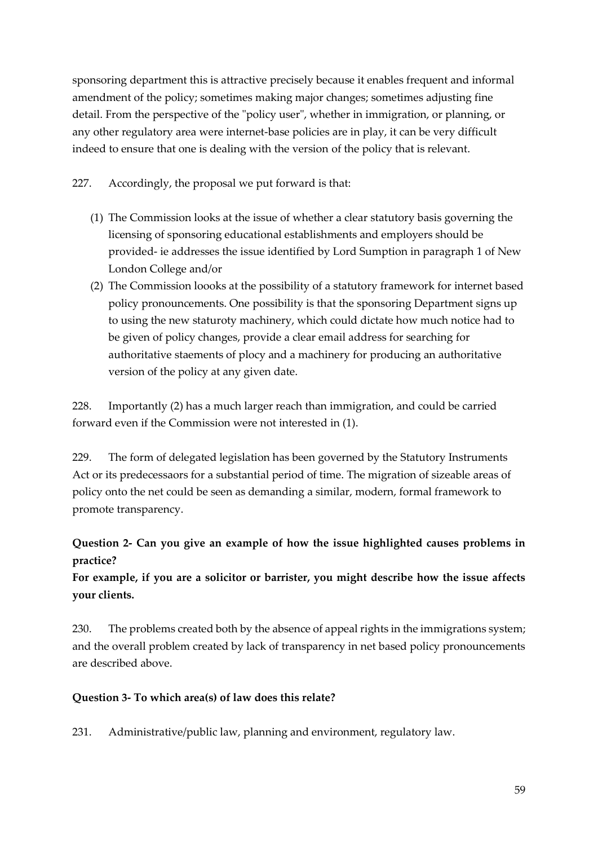sponsoring department this is attractive precisely because it enables frequent and informal amendment of the policy; sometimes making major changes; sometimes adjusting fine detail. From the perspective of the "policy user", whether in immigration, or planning, or any other regulatory area were internet-base policies are in play, it can be very difficult indeed to ensure that one is dealing with the version of the policy that is relevant.

227. Accordingly, the proposal we put forward is that:

- (1) The Commission looks at the issue of whether a clear statutory basis governing the licensing of sponsoring educational establishments and employers should be provided- ie addresses the issue identified by Lord Sumption in paragraph 1 of New London College and/or
- (2) The Commission loooks at the possibility of a statutory framework for internet based policy pronouncements. One possibility is that the sponsoring Department signs up to using the new staturoty machinery, which could dictate how much notice had to be given of policy changes, provide a clear email address for searching for authoritative staements of plocy and a machinery for producing an authoritative version of the policy at any given date.

228. Importantly (2) has a much larger reach than immigration, and could be carried forward even if the Commission were not interested in (1).

229. The form of delegated legislation has been governed by the Statutory Instruments Act or its predecessaors for a substantial period of time. The migration of sizeable areas of policy onto the net could be seen as demanding a similar, modern, formal framework to promote transparency.

### **Question 2- Can you give an example of how the issue highlighted causes problems in practice?**

#### **For example, if you are a solicitor or barrister, you might describe how the issue affects your clients.**

230. The problems created both by the absence of appeal rights in the immigrations system; and the overall problem created by lack of transparency in net based policy pronouncements are described above.

#### **Question 3- To which area(s) of law does this relate?**

231. Administrative/public law, planning and environment, regulatory law.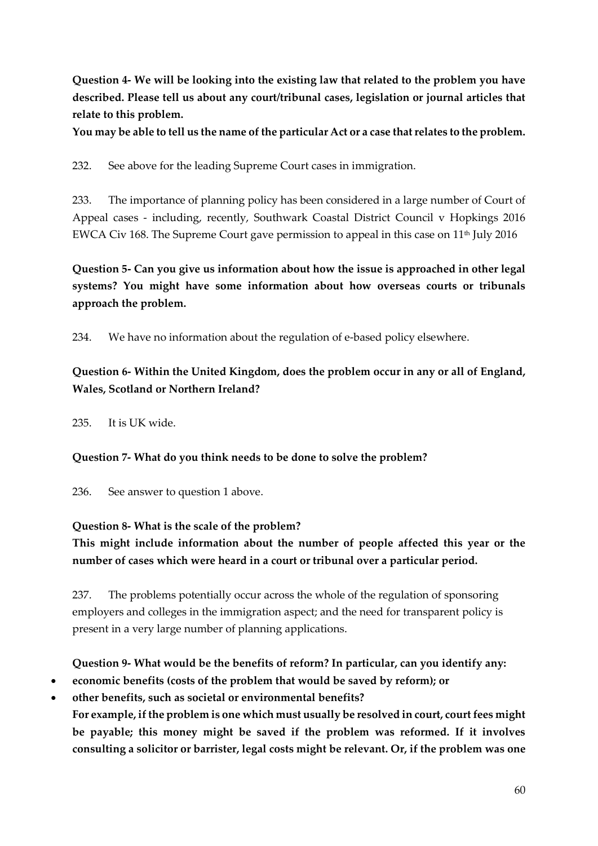**Question 4- We will be looking into the existing law that related to the problem you have described. Please tell us about any court/tribunal cases, legislation or journal articles that relate to this problem.**

**You may be able to tell us the name of the particular Act or a case that relates to the problem.**

232. See above for the leading Supreme Court cases in immigration.

233. The importance of planning policy has been considered in a large number of Court of Appeal cases - including, recently, Southwark Coastal District Council v Hopkings 2016 EWCA Civ 168. The Supreme Court gave permission to appeal in this case on 11<sup>th</sup> July 2016

**Question 5- Can you give us information about how the issue is approached in other legal systems? You might have some information about how overseas courts or tribunals approach the problem.**

234. We have no information about the regulation of e-based policy elsewhere.

### **Question 6- Within the United Kingdom, does the problem occur in any or all of England, Wales, Scotland or Northern Ireland?**

235. It is UK wide.

**Question 7- What do you think needs to be done to solve the problem?**

236. See answer to question 1 above.

### **Question 8- What is the scale of the problem?**

**This might include information about the number of people affected this year or the number of cases which were heard in a court or tribunal over a particular period.**

237. The problems potentially occur across the whole of the regulation of sponsoring employers and colleges in the immigration aspect; and the need for transparent policy is present in a very large number of planning applications.

### **Question 9- What would be the benefits of reform? In particular, can you identify any:**

- **economic benefits (costs of the problem that would be saved by reform); or**
- **other benefits, such as societal or environmental benefits? For example, if the problem is one which must usually be resolved in court, court fees might be payable; this money might be saved if the problem was reformed. If it involves consulting a solicitor or barrister, legal costs might be relevant. Or, if the problem was one**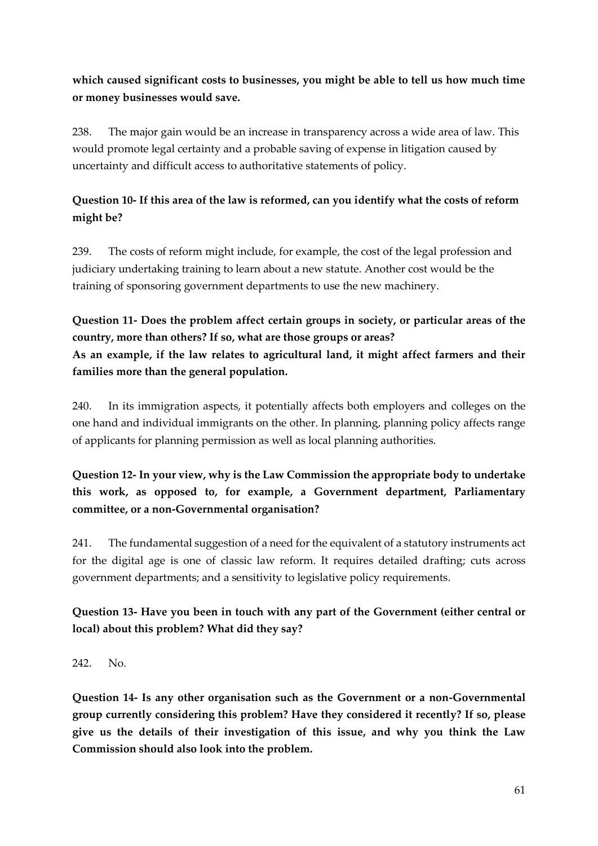### **which caused significant costs to businesses, you might be able to tell us how much time or money businesses would save.**

238. The major gain would be an increase in transparency across a wide area of law. This would promote legal certainty and a probable saving of expense in litigation caused by uncertainty and difficult access to authoritative statements of policy.

### **Question 10- If this area of the law is reformed, can you identify what the costs of reform might be?**

239. The costs of reform might include, for example, the cost of the legal profession and judiciary undertaking training to learn about a new statute. Another cost would be the training of sponsoring government departments to use the new machinery.

### **Question 11- Does the problem affect certain groups in society, or particular areas of the country, more than others? If so, what are those groups or areas? As an example, if the law relates to agricultural land, it might affect farmers and their families more than the general population.**

240. In its immigration aspects, it potentially affects both employers and colleges on the one hand and individual immigrants on the other. In planning, planning policy affects range of applicants for planning permission as well as local planning authorities.

### **Question 12- In your view, why is the Law Commission the appropriate body to undertake this work, as opposed to, for example, a Government department, Parliamentary committee, or a non-Governmental organisation?**

241. The fundamental suggestion of a need for the equivalent of a statutory instruments act for the digital age is one of classic law reform. It requires detailed drafting; cuts across government departments; and a sensitivity to legislative policy requirements.

### **Question 13- Have you been in touch with any part of the Government (either central or local) about this problem? What did they say?**

242. No.

**Question 14- Is any other organisation such as the Government or a non-Governmental group currently considering this problem? Have they considered it recently? If so, please give us the details of their investigation of this issue, and why you think the Law Commission should also look into the problem.**